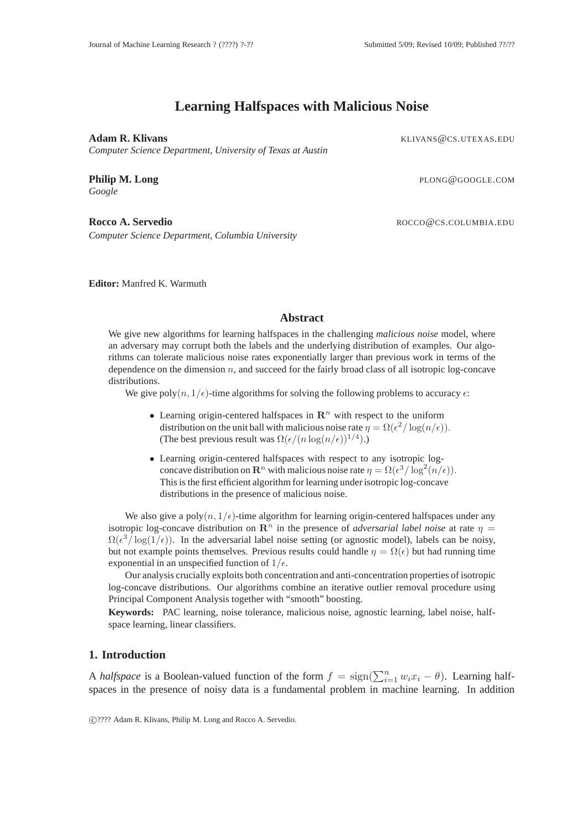# **Learning Halfspaces with Malicious Noise**

**Adam R. Klivans** KLIVANS **CS.UTEXAS.EDU** 

*Computer Science Department, University of Texas at Austin*

*Google*

**Rocco A. Servedio** ROCCO A. Servedio *Computer Science Department, Columbia University*

**Philip M. Long** PLONG@GOOGLE.COM

**Editor:** Manfred K. Warmuth

# **Abstract**

We give new algorithms for learning halfspaces in the challenging *malicious noise* model, where an adversary may corrupt both the labels and the underlying distribution of examples. Our algorithms can tolerate malicious noise rates exponentially larger than previous work in terms of the dependence on the dimension  $n$ , and succeed for the fairly broad class of all isotropic log-concave distributions.

We give poly $(n, 1/\epsilon)$ -time algorithms for solving the following problems to accuracy  $\epsilon$ :

- Learning origin-centered halfspaces in  $\mathbb{R}^n$  with respect to the uniform distribution on the unit ball with malicious noise rate  $\eta = \Omega(\epsilon^2/\log(n/\epsilon)).$ (The best previous result was  $\Omega(\epsilon/(n \log(n/\epsilon))^{1/4})$ .)
- Learning origin-centered halfspaces with respect to any isotropic logconcave distribution on  $\mathbf{R}^n$  with malicious noise rate  $\eta = \Omega(\epsilon^3/\log^2(n/\epsilon)).$ This is the first efficient algorithm for learning under isotropic log-concave distributions in the presence of malicious noise.

We also give a poly $(n, 1/\epsilon)$ -time algorithm for learning origin-centered halfspaces under any isotropic log-concave distribution on  $\mathbb{R}^n$  in the presence of *adversarial label noise* at rate  $\eta =$  $\Omega(\epsilon^3/\log(1/\epsilon))$ . In the adversarial label noise setting (or agnostic model), labels can be noisy, but not example points themselves. Previous results could handle  $\eta = \Omega(\epsilon)$  but had running time exponential in an unspecified function of  $1/\epsilon$ .

Our analysis crucially exploits both concentration and anti-concentration properties of isotropic log-concave distributions. Our algorithms combine an iterative outlier removal procedure using Principal Component Analysis together with "smooth" boosting.

**Keywords:** PAC learning, noise tolerance, malicious noise, agnostic learning, label noise, halfspace learning, linear classifiers.

# **1. Introduction**

A *halfspace* is a Boolean-valued function of the form  $f = sign(\sum_{i=1}^{n} w_i x_i - \theta)$ . Learning halfspaces in the presence of noisy data is a fundamental problem in machine learning. In addition

c ???? Adam R. Klivans, Philip M. Long and Rocco A. Servedio.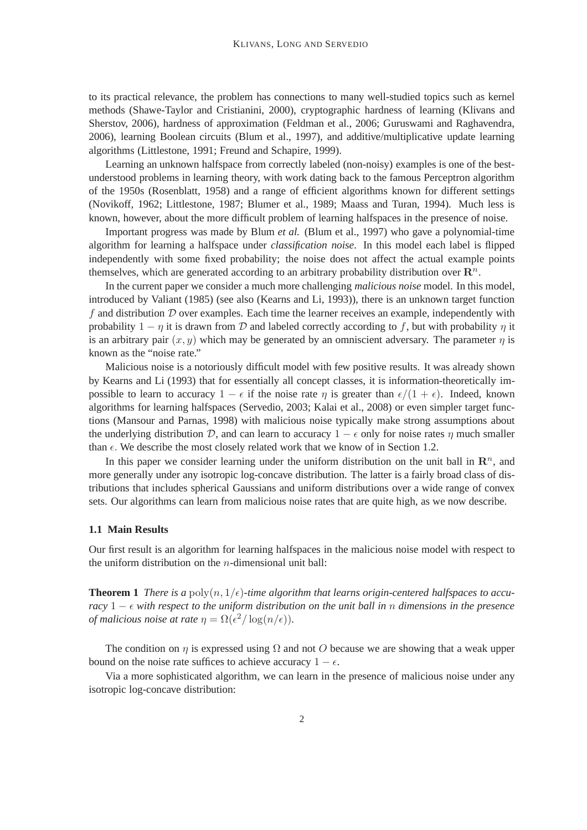to its practical relevance, the problem has connections to many well-studied topics such as kernel methods (Shawe-Taylor and Cristianini, 2000), cryptographic hardness of learning (Klivans and Sherstov, 2006), hardness of approximation (Feldman et al., 2006; Guruswami and Raghavendra, 2006), learning Boolean circuits (Blum et al., 1997), and additive/multiplicative update learning algorithms (Littlestone, 1991; Freund and Schapire, 1999).

Learning an unknown halfspace from correctly labeled (non-noisy) examples is one of the bestunderstood problems in learning theory, with work dating back to the famous Perceptron algorithm of the 1950s (Rosenblatt, 1958) and a range of efficient algorithms known for different settings (Novikoff, 1962; Littlestone, 1987; Blumer et al., 1989; Maass and Turan, 1994). Much less is known, however, about the more difficult problem of learning halfspaces in the presence of noise.

Important progress was made by Blum *et al.* (Blum et al., 1997) who gave a polynomial-time algorithm for learning a halfspace under *classification noise*. In this model each label is flipped independently with some fixed probability; the noise does not affect the actual example points themselves, which are generated according to an arbitrary probability distribution over  $\mathbb{R}^n$ .

In the current paper we consider a much more challenging *malicious noise* model. In this model, introduced by Valiant (1985) (see also (Kearns and Li, 1993)), there is an unknown target function f and distribution  $D$  over examples. Each time the learner receives an example, independently with probability  $1 - \eta$  it is drawn from D and labeled correctly according to f, but with probability  $\eta$  it is an arbitrary pair  $(x, y)$  which may be generated by an omniscient adversary. The parameter  $\eta$  is known as the "noise rate."

Malicious noise is a notoriously difficult model with few positive results. It was already shown by Kearns and Li (1993) that for essentially all concept classes, it is information-theoretically impossible to learn to accuracy  $1 - \epsilon$  if the noise rate  $\eta$  is greater than  $\epsilon/(1 + \epsilon)$ . Indeed, known algorithms for learning halfspaces (Servedio, 2003; Kalai et al., 2008) or even simpler target functions (Mansour and Parnas, 1998) with malicious noise typically make strong assumptions about the underlying distribution D, and can learn to accuracy  $1 - \epsilon$  only for noise rates  $\eta$  much smaller than  $\epsilon$ . We describe the most closely related work that we know of in Section 1.2.

In this paper we consider learning under the uniform distribution on the unit ball in  $\mathbb{R}^n$ , and more generally under any isotropic log-concave distribution. The latter is a fairly broad class of distributions that includes spherical Gaussians and uniform distributions over a wide range of convex sets. Our algorithms can learn from malicious noise rates that are quite high, as we now describe.

#### **1.1 Main Results**

Our first result is an algorithm for learning halfspaces in the malicious noise model with respect to the uniform distribution on the  $n$ -dimensional unit ball:

**Theorem 1** *There is a* poly $(n, 1/\epsilon)$ *-time algorithm that learns origin-centered halfspaces to accuracy* 1 −  $\epsilon$  *with respect to the uniform distribution on the unit ball in n dimensions in the presence of malicious noise at rate*  $\eta = \Omega(\epsilon^2/\log(n/\epsilon)).$ 

The condition on  $\eta$  is expressed using  $\Omega$  and not O because we are showing that a weak upper bound on the noise rate suffices to achieve accuracy  $1 - \epsilon$ .

Via a more sophisticated algorithm, we can learn in the presence of malicious noise under any isotropic log-concave distribution: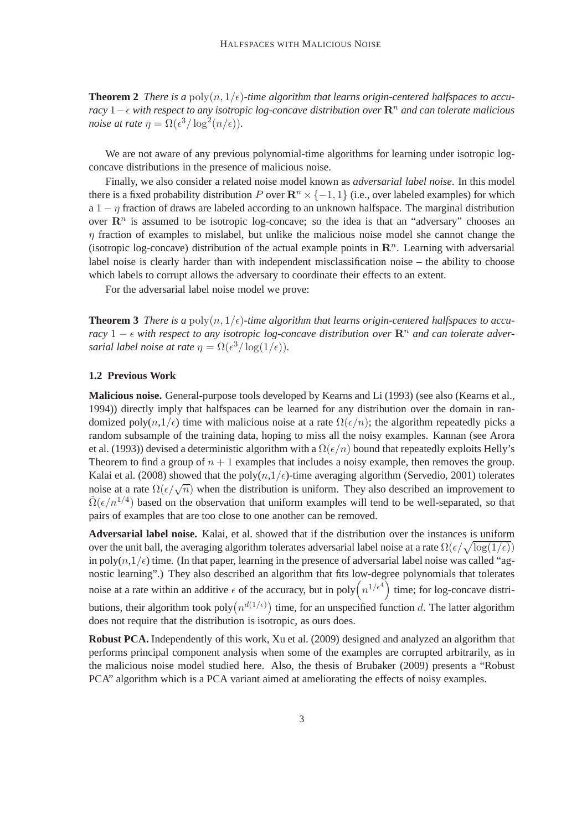**Theorem 2** *There is a* poly $(n, 1/\epsilon)$ *-time algorithm that learns origin-centered halfspaces to accuracy*  $1 - \epsilon$  *with respect to any isotropic log-concave distribution over*  $\mathbb{R}^n$  *and can tolerate malicious noise at rate*  $\eta = \Omega(\epsilon^3/\log^2(n/\epsilon)).$ 

We are not aware of any previous polynomial-time algorithms for learning under isotropic logconcave distributions in the presence of malicious noise.

Finally, we also consider a related noise model known as *adversarial label noise*. In this model there is a fixed probability distribution P over  $\mathbb{R}^n \times \{-1, 1\}$  (i.e., over labeled examples) for which a 1  $\eta$  fraction of draws are labeled according to an unknown halfspace. The marginal distribution over  $\mathbb{R}^n$  is assumed to be isotropic log-concave; so the idea is that an "adversary" chooses an  $\eta$  fraction of examples to mislabel, but unlike the malicious noise model she cannot change the (isotropic log-concave) distribution of the actual example points in  $\mathbb{R}^n$ . Learning with adversarial label noise is clearly harder than with independent misclassification noise – the ability to choose which labels to corrupt allows the adversary to coordinate their effects to an extent.

For the adversarial label noise model we prove:

**Theorem 3** *There is a* poly $(n, 1/\epsilon)$ *-time algorithm that learns origin-centered halfspaces to accuracy*  $1 - \epsilon$  *with respect to any isotropic log-concave distribution over*  $\mathbb{R}^n$  *and can tolerate adversarial label noise at rate*  $\eta = \Omega(\epsilon^3/\log(1/\epsilon)).$ 

#### **1.2 Previous Work**

**Malicious noise.** General-purpose tools developed by Kearns and Li (1993) (see also (Kearns et al., 1994)) directly imply that halfspaces can be learned for any distribution over the domain in randomized poly $(n,1/\epsilon)$  time with malicious noise at a rate  $\Omega(\epsilon/n)$ ; the algorithm repeatedly picks a random subsample of the training data, hoping to miss all the noisy examples. Kannan (see Arora et al. (1993)) devised a deterministic algorithm with a  $\Omega(\epsilon/n)$  bound that repeatedly exploits Helly's Theorem to find a group of  $n + 1$  examples that includes a noisy example, then removes the group. Kalai et al. (2008) showed that the poly $(n,1/\epsilon)$ -time averaging algorithm (Servedio, 2001) tolerates noise at a rate  $\Omega(\epsilon/\sqrt{n})$  when the distribution is uniform. They also described an improvement to  $\tilde{\Omega}(\epsilon/n^{1/4})$  based on the observation that uniform examples will tend to be well-separated, so that pairs of examples that are too close to one another can be removed.

**Adversarial label noise.** Kalai, et al. showed that if the distribution over the instances is uniform over the unit ball, the averaging algorithm tolerates adversarial label noise at a rate  $\Omega(\epsilon/\sqrt{\log(1/\epsilon)})$ in poly $(n,1/\epsilon)$  time. (In that paper, learning in the presence of adversarial label noise was called "agnostic learning".) They also described an algorithm that fits low-degree polynomials that tolerates noise at a rate within an additive  $\epsilon$  of the accuracy, but in poly  $\left(n^{1/\epsilon^4}\right)$  time; for log-concave distributions, their algorithm took poly $(n^{d(1/\epsilon)})$  time, for an unspecified function d. The latter algorithm does not require that the distribution is isotropic, as ours does.

**Robust PCA.** Independently of this work, Xu et al. (2009) designed and analyzed an algorithm that performs principal component analysis when some of the examples are corrupted arbitrarily, as in the malicious noise model studied here. Also, the thesis of Brubaker (2009) presents a "Robust PCA" algorithm which is a PCA variant aimed at ameliorating the effects of noisy examples.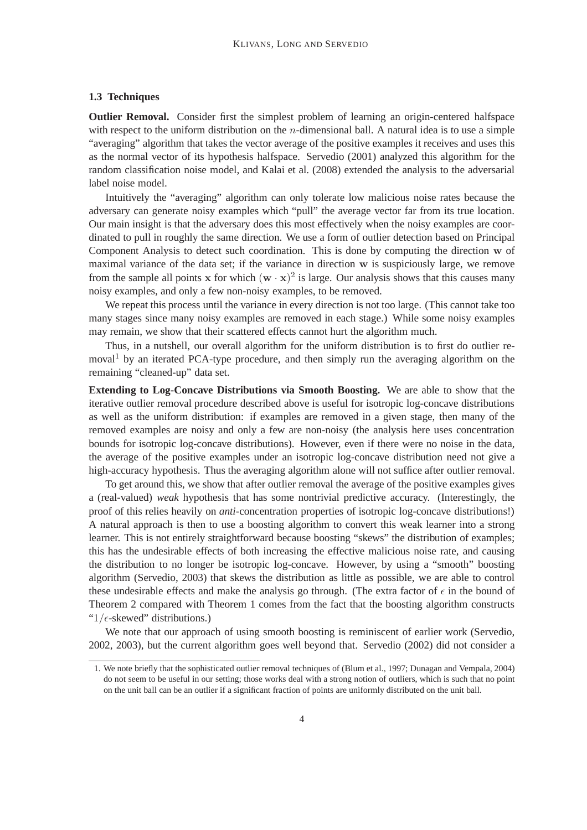### **1.3 Techniques**

**Outlier Removal.** Consider first the simplest problem of learning an origin-centered halfspace with respect to the uniform distribution on the *n*-dimensional ball. A natural idea is to use a simple "averaging" algorithm that takes the vector average of the positive examples it receives and uses this as the normal vector of its hypothesis halfspace. Servedio (2001) analyzed this algorithm for the random classification noise model, and Kalai et al. (2008) extended the analysis to the adversarial label noise model.

Intuitively the "averaging" algorithm can only tolerate low malicious noise rates because the adversary can generate noisy examples which "pull" the average vector far from its true location. Our main insight is that the adversary does this most effectively when the noisy examples are coordinated to pull in roughly the same direction. We use a form of outlier detection based on Principal Component Analysis to detect such coordination. This is done by computing the direction w of maximal variance of the data set; if the variance in direction w is suspiciously large, we remove from the sample all points  $x$  for which  $(w \cdot x)^2$  is large. Our analysis shows that this causes many noisy examples, and only a few non-noisy examples, to be removed.

We repeat this process until the variance in every direction is not too large. (This cannot take too many stages since many noisy examples are removed in each stage.) While some noisy examples may remain, we show that their scattered effects cannot hurt the algorithm much.

Thus, in a nutshell, our overall algorithm for the uniform distribution is to first do outlier removal<sup>1</sup> by an iterated PCA-type procedure, and then simply run the averaging algorithm on the remaining "cleaned-up" data set.

**Extending to Log-Concave Distributions via Smooth Boosting.** We are able to show that the iterative outlier removal procedure described above is useful for isotropic log-concave distributions as well as the uniform distribution: if examples are removed in a given stage, then many of the removed examples are noisy and only a few are non-noisy (the analysis here uses concentration bounds for isotropic log-concave distributions). However, even if there were no noise in the data, the average of the positive examples under an isotropic log-concave distribution need not give a high-accuracy hypothesis. Thus the averaging algorithm alone will not suffice after outlier removal.

To get around this, we show that after outlier removal the average of the positive examples gives a (real-valued) *weak* hypothesis that has some nontrivial predictive accuracy. (Interestingly, the proof of this relies heavily on *anti*-concentration properties of isotropic log-concave distributions!) A natural approach is then to use a boosting algorithm to convert this weak learner into a strong learner. This is not entirely straightforward because boosting "skews" the distribution of examples; this has the undesirable effects of both increasing the effective malicious noise rate, and causing the distribution to no longer be isotropic log-concave. However, by using a "smooth" boosting algorithm (Servedio, 2003) that skews the distribution as little as possible, we are able to control these undesirable effects and make the analysis go through. (The extra factor of  $\epsilon$  in the bound of Theorem 2 compared with Theorem 1 comes from the fact that the boosting algorithm constructs " $1/\epsilon$ -skewed" distributions.)

We note that our approach of using smooth boosting is reminiscent of earlier work (Servedio, 2002, 2003), but the current algorithm goes well beyond that. Servedio (2002) did not consider a

<sup>1.</sup> We note briefly that the sophisticated outlier removal techniques of (Blum et al., 1997; Dunagan and Vempala, 2004) do not seem to be useful in our setting; those works deal with a strong notion of outliers, which is such that no point on the unit ball can be an outlier if a significant fraction of points are uniformly distributed on the unit ball.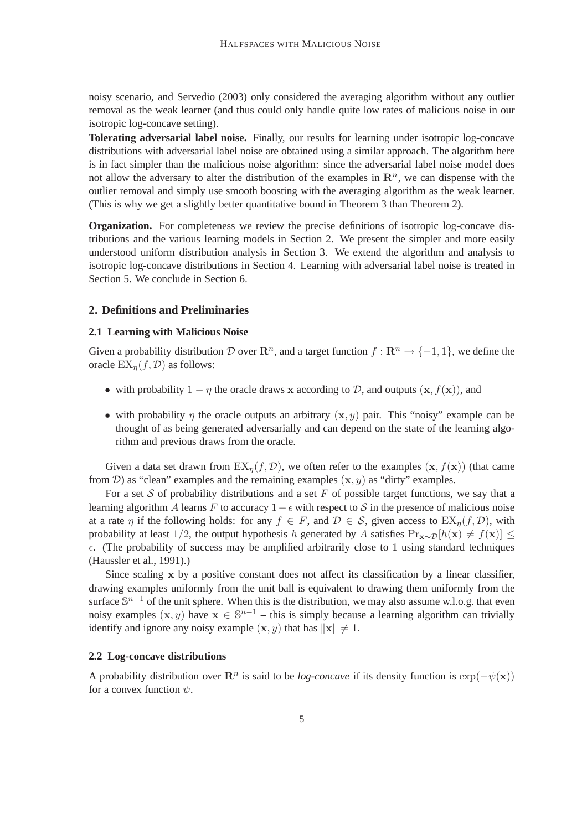noisy scenario, and Servedio (2003) only considered the averaging algorithm without any outlier removal as the weak learner (and thus could only handle quite low rates of malicious noise in our isotropic log-concave setting).

**Tolerating adversarial label noise.** Finally, our results for learning under isotropic log-concave distributions with adversarial label noise are obtained using a similar approach. The algorithm here is in fact simpler than the malicious noise algorithm: since the adversarial label noise model does not allow the adversary to alter the distribution of the examples in  $\mathbb{R}^n$ , we can dispense with the outlier removal and simply use smooth boosting with the averaging algorithm as the weak learner. (This is why we get a slightly better quantitative bound in Theorem 3 than Theorem 2).

**Organization.** For completeness we review the precise definitions of isotropic log-concave distributions and the various learning models in Section 2. We present the simpler and more easily understood uniform distribution analysis in Section 3. We extend the algorithm and analysis to isotropic log-concave distributions in Section 4. Learning with adversarial label noise is treated in Section 5. We conclude in Section 6.

# **2. Definitions and Preliminaries**

#### **2.1 Learning with Malicious Noise**

Given a probability distribution  $D$  over  $\mathbb{R}^n$ , and a target function  $f : \mathbb{R}^n \to \{-1,1\}$ , we define the oracle  $EX_n(f, \mathcal{D})$  as follows:

- with probability  $1 \eta$  the oracle draws x according to D, and outputs  $(x, f(x))$ , and
- with probability  $\eta$  the oracle outputs an arbitrary  $(x, y)$  pair. This "noisy" example can be thought of as being generated adversarially and can depend on the state of the learning algorithm and previous draws from the oracle.

Given a data set drawn from  $EX_n(f, \mathcal{D})$ , we often refer to the examples  $(x, f(x))$  (that came from  $D$ ) as "clean" examples and the remaining examples  $(x, y)$  as "dirty" examples.

For a set S of probability distributions and a set F of possible target functions, we say that a learning algorithm A learns F to accuracy  $1 - \epsilon$  with respect to S in the presence of malicious noise at a rate  $\eta$  if the following holds: for any  $f \in F$ , and  $D \in S$ , given access to  $EX_n(f, D)$ , with probability at least 1/2, the output hypothesis h generated by A satisfies  $Pr_{\mathbf{x} \sim \mathcal{D}}[h(\mathbf{x}) \neq f(\mathbf{x})]$  $\epsilon$ . (The probability of success may be amplified arbitrarily close to 1 using standard techniques (Haussler et al., 1991).)

Since scaling  $x$  by a positive constant does not affect its classification by a linear classifier, drawing examples uniformly from the unit ball is equivalent to drawing them uniformly from the surface  $\mathbb{S}^{n-1}$  of the unit sphere. When this is the distribution, we may also assume w.l.o.g. that even noisy examples  $(x, y)$  have  $x \in \mathbb{S}^{n-1}$  – this is simply because a learning algorithm can trivially identify and ignore any noisy example  $(x, y)$  that has  $||x|| \neq 1$ .

#### **2.2 Log-concave distributions**

A probability distribution over  $\mathbf{R}^n$  is said to be *log-concave* if its density function is  $\exp(-\psi(\mathbf{x}))$ for a convex function  $\psi$ .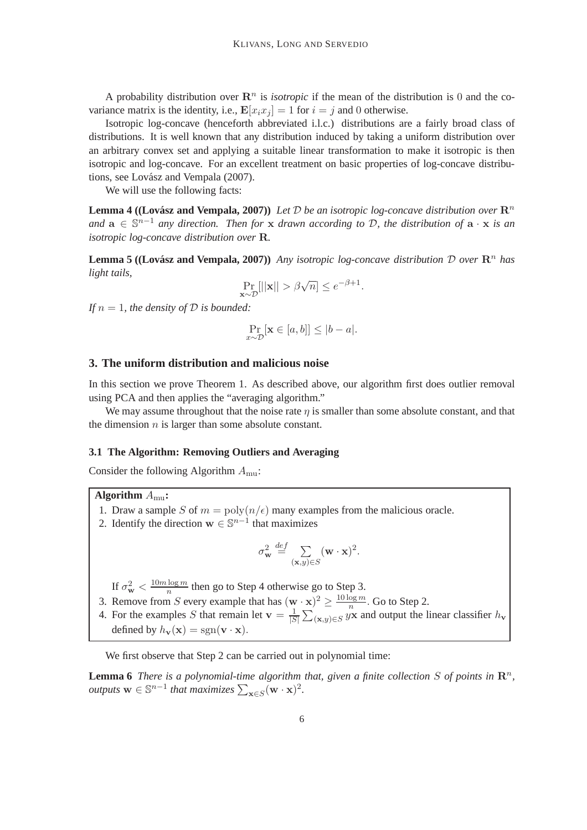A probability distribution over  $\mathbb{R}^n$  is *isotropic* if the mean of the distribution is 0 and the covariance matrix is the identity, i.e.,  $\mathbf{E}[x_ix_j] = 1$  for  $i = j$  and 0 otherwise.

Isotropic log-concave (henceforth abbreviated i.l.c.) distributions are a fairly broad class of distributions. It is well known that any distribution induced by taking a uniform distribution over an arbitrary convex set and applying a suitable linear transformation to make it isotropic is then isotropic and log-concave. For an excellent treatment on basic properties of log-concave distributions, see Lovász and Vempala (2007).

We will use the following facts:

**Lemma 4 ((Lovász and Vempala, 2007))** Let D be an isotropic log-concave distribution over  $\mathbb{R}^n$ *and*  $a$  ∈  $\mathbb{S}^{n-1}$  *any direction. Then for* x *drawn according to* D, *the distribution of*  $a \cdot x$  *is an isotropic log-concave distribution over* R*.*

**Lemma 5 ((Lovász and Vempala, 2007))** Any isotropic log-concave distribution  $D$  over  $\mathbb{R}^n$  has *light tails,*

$$
\Pr_{\mathbf{x}\sim\mathcal{D}}[||\mathbf{x}|| > \beta\sqrt{n}] \le e^{-\beta+1}.
$$

*If*  $n = 1$ *, the density of*  $D$  *is bounded:* 

$$
\Pr_{x \sim \mathcal{D}}[\mathbf{x} \in [a, b]] \le |b - a|.
$$

# **3. The uniform distribution and malicious noise**

In this section we prove Theorem 1. As described above, our algorithm first does outlier removal using PCA and then applies the "averaging algorithm."

We may assume throughout that the noise rate  $\eta$  is smaller than some absolute constant, and that the dimension  $n$  is larger than some absolute constant.

#### **3.1 The Algorithm: Removing Outliers and Averaging**

Consider the following Algorithm  $A_{\text{mu}}$ :

**Algorithm** Amu**:**

- 1. Draw a sample S of  $m = \text{poly}(n/\epsilon)$  many examples from the malicious oracle.
- 2. Identify the direction  $\mathbf{w} \in \mathbb{S}^{n-1}$  that maximizes

$$
\sigma_{\mathbf{w}}^2 \stackrel{def}{=} \sum_{(\mathbf{x},y)\in S} (\mathbf{w}\cdot\mathbf{x})^2.
$$

If  $\sigma_{\mathbf{w}}^2 < \frac{10m \log m}{n}$  $\frac{\log m}{n}$  then go to Step 4 otherwise go to Step 3.

- 3. Remove from S every example that has  $(\mathbf{w} \cdot \mathbf{x})^2 \ge \frac{10 \log m}{n}$  $\frac{\log m}{n}$ . Go to Step 2.
- 4. For the examples S that remain let  $\mathbf{v} = \frac{1}{|S|}$  $\frac{1}{|S|}$   $\sum_{(\mathbf{x},y)\in S}$   $\frac{y\mathbf{x}}{y\mathbf{x}}$  and output the linear classifier  $h_{\mathbf{v}}$ defined by  $h_{\mathbf{v}}(\mathbf{x}) = \text{sgn}(\mathbf{v} \cdot \mathbf{x}).$

We first observe that Step 2 can be carried out in polynomial time:

**Lemma 6** *There is a polynomial-time algorithm that, given a finite collection* S of points in  $\mathbb{R}^n$ , *outputs*  $\mathbf{w} \in \mathbb{S}^{n-1}$  *that maximizes*  $\sum_{\mathbf{x} \in S} (\mathbf{w} \cdot \mathbf{x})^2$ *.*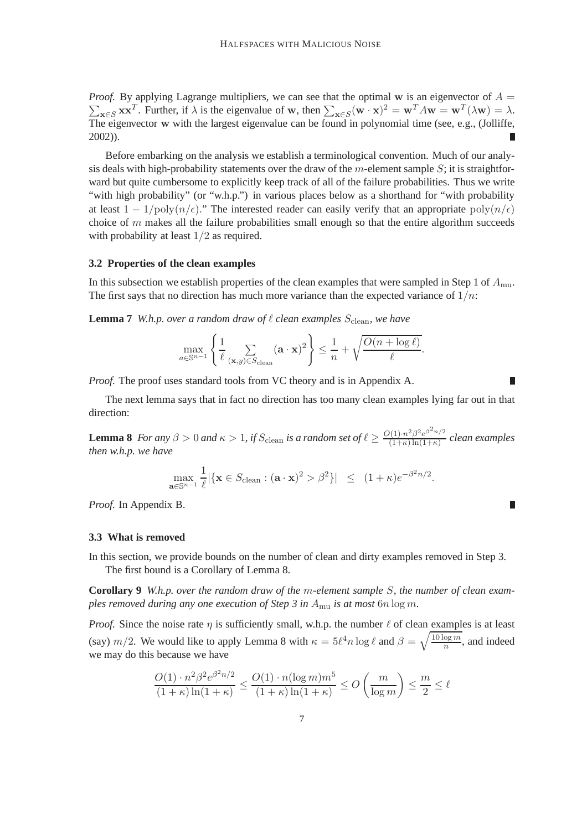*Proof.* By applying Lagrange multipliers, we can see that the optimal w is an eigenvector of  $A =$  $\sum_{\mathbf{x}\in S} \mathbf{x}\mathbf{x}^T$ . Further, if  $\lambda$  is the eigenvalue of w, then  $\sum_{\mathbf{x}\in S} (\mathbf{w}\cdot\mathbf{x})^2 = \mathbf{w}^T A \mathbf{w} = \mathbf{w}^T (\lambda \mathbf{w}) = \lambda$ . The eigenvector w with the largest eigenvalue can be found in polynomial time (see, e.g., (Jolliffe, 2002)). П

Before embarking on the analysis we establish a terminological convention. Much of our analysis deals with high-probability statements over the draw of the  $m$ -element sample  $S$ ; it is straightforward but quite cumbersome to explicitly keep track of all of the failure probabilities. Thus we write "with high probability" (or "w.h.p.") in various places below as a shorthand for "with probability at least  $1 - 1/\text{poly}(n/\epsilon)$ ." The interested reader can easily verify that an appropriate  $\text{poly}(n/\epsilon)$ choice of  $m$  makes all the failure probabilities small enough so that the entire algorithm succeeds with probability at least  $1/2$  as required.

#### **3.2 Properties of the clean examples**

In this subsection we establish properties of the clean examples that were sampled in Step 1 of  $A_{\text{mu}}$ . The first says that no direction has much more variance than the expected variance of  $1/n$ :

**Lemma 7** *W.h.p. over a random draw of*  $\ell$  *clean examples*  $S_{\text{clean}}$ *, we have* 

$$
\max_{a \in \mathbb{S}^{n-1}} \left\{ \frac{1}{\ell} \sum_{(\mathbf{x},y) \in S_{\text{clean}}} (\mathbf{a} \cdot \mathbf{x})^2 \right\} \leq \frac{1}{n} + \sqrt{\frac{O(n + \log \ell)}{\ell}}.
$$

*Proof.* The proof uses standard tools from VC theory and is in Appendix A.

The next lemma says that in fact no direction has too many clean examples lying far out in that direction:

**Lemma 8** *For any*  $\beta > 0$  *and*  $\kappa > 1$ , *if*  $S_{\text{clean}}$  *is a random set of*  $\ell \geq \frac{O(1) \cdot n^2 \beta^2 e^{\beta^2 n/2}}{(1+\kappa)\ln(1+\kappa)}$  $\frac{\Gamma(1) \cdot n^2 \beta^2 e^{\beta^2 - n/2}}{(1+\kappa) \ln(1+\kappa)}$  clean examples *then w.h.p. we have*

$$
\max_{\mathbf{a}\in\mathbb{S}^{n-1}}\frac{1}{\ell}|\{\mathbf{x}\in S_{\text{clean}}:(\mathbf{a}\cdot\mathbf{x})^2>\beta^2\}|\leq (1+\kappa)e^{-\beta^2n/2}.
$$

*Proof.* In Appendix B.

# **3.3 What is removed**

In this section, we provide bounds on the number of clean and dirty examples removed in Step 3. The first bound is a Corollary of Lemma 8.

**Corollary 9** *W.h.p. over the random draw of the* m*-element sample* S*, the number of clean examples removed during any one execution of Step 3 in* Amu *is at most* 6n log m*.*

*Proof.* Since the noise rate  $\eta$  is sufficiently small, w.h.p. the number  $\ell$  of clean examples is at least (say)  $m/2$ . We would like to apply Lemma 8 with  $\kappa = 5\ell^4 n \log \ell$  and  $\beta = \sqrt{\frac{10 \log m}{n}}$  $\frac{\log m}{n}$ , and indeed we may do this because we have

$$
\frac{O(1) \cdot n^2 \beta^2 e^{\beta^2 n/2}}{(1+\kappa) \ln(1+\kappa)} \le \frac{O(1) \cdot n (\log m) m^5}{(1+\kappa) \ln(1+\kappa)} \le O\left(\frac{m}{\log m}\right) \le \frac{m}{2} \le \ell
$$

П

П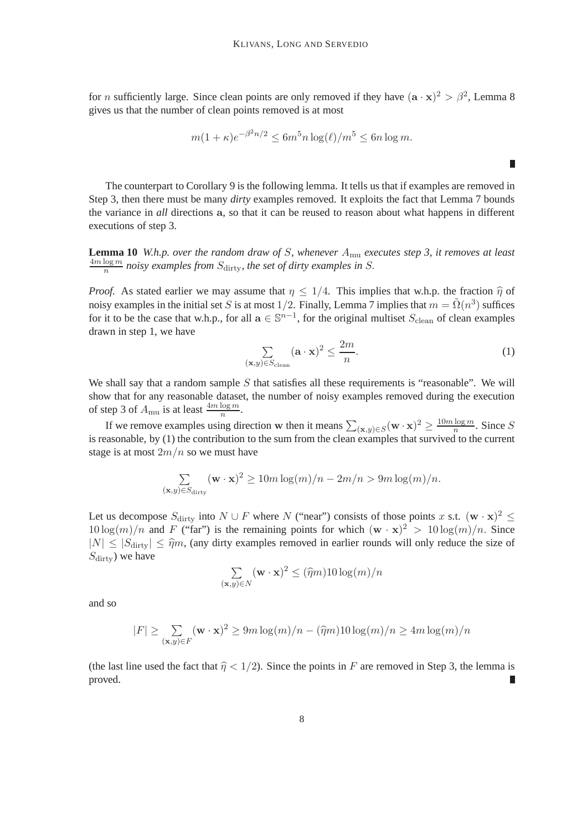for *n* sufficiently large. Since clean points are only removed if they have  $(**a** · **x**)^2 > \beta^2$ , Lemma 8 gives us that the number of clean points removed is at most

$$
m(1 + \kappa)e^{-\beta^2 n/2} \le 6m^5 n \log(\ell)/m^5 \le 6n \log m.
$$

The counterpart to Corollary 9 is the following lemma. It tells us that if examples are removed in Step 3, then there must be many *dirty* examples removed. It exploits the fact that Lemma 7 bounds the variance in *all* directions a, so that it can be reused to reason about what happens in different executions of step 3.

**Lemma 10** *W.h.p. over the random draw of* S*, whenever* Amu *executes step 3, it removes at least*  $4m \log m$  $\frac{\log m}{n}$  noisy examples from  $S_{\text{dirty}}$ , the set of dirty examples in S.

*Proof.* As stated earlier we may assume that  $\eta \leq 1/4$ . This implies that w.h.p. the fraction  $\hat{\eta}$  of noisy examples in the initial set S is at most 1/2. Finally, Lemma 7 implies that  $m = \tilde{\Omega}(n^3)$  suffices for it to be the case that w.h.p., for all  $a \in \mathbb{S}^{n-1}$ , for the original multiset  $S_{clean}$  of clean examples drawn in step 1, we have

$$
\sum_{(\mathbf{x},y)\in S_{\text{clean}}} (\mathbf{a} \cdot \mathbf{x})^2 \le \frac{2m}{n}.\tag{1}
$$

П

We shall say that a random sample  $S$  that satisfies all these requirements is "reasonable". We will show that for any reasonable dataset, the number of noisy examples removed during the execution of step 3 of  $A_{\text{mu}}$  is at least  $\frac{4m \log m}{n}$ .

If we remove examples using direction w then it means  $\sum_{(\mathbf{x},y)\in S} (\mathbf{w} \cdot \mathbf{x})^2 \ge \frac{10m \log m}{n}$  $\frac{\log m}{n}$ . Since S is reasonable, by (1) the contribution to the sum from the clean examples that survived to the current stage is at most  $2m/n$  so we must have

$$
\sum_{(\mathbf{x},y)\in S_{\text{dirty}}} (\mathbf{w} \cdot \mathbf{x})^2 \ge 10m \log(m)/n - 2m/n > 9m \log(m)/n.
$$

Let us decompose  $S_{\text{dirty}}$  into  $N \cup F$  where N ("near") consists of those points x s.t.  $(\mathbf{w} \cdot \mathbf{x})^2 \leq$  $10\log(m)/n$  and F ("far") is the remaining points for which  $(\mathbf{w} \cdot \mathbf{x})^2 > 10\log(m)/n$ . Since  $|N| \leq |S_{\text{dirty}}| \leq \hat{\eta}m$ , (any dirty examples removed in earlier rounds will only reduce the size of  $S_{\text{dirty}}$ ) we have

$$
\sum_{(\mathbf{x},y)\in N} (\mathbf{w}\cdot\mathbf{x})^2 \leq (\widehat{\eta}m)10\log(m)/n
$$

and so

$$
|F| \ge \sum_{(\mathbf{x},y)\in F} (\mathbf{w}\cdot\mathbf{x})^2 \ge 9m\log(m)/n - (\widehat{\eta}m)10\log(m)/n \ge 4m\log(m)/n
$$

(the last line used the fact that  $\hat{\eta} < 1/2$ ). Since the points in F are removed in Step 3, the lemma is proved. proved.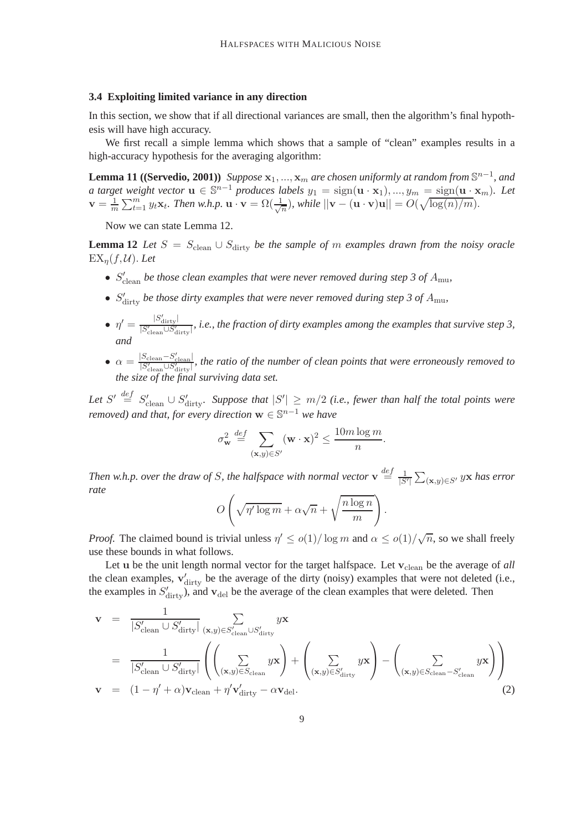#### **3.4 Exploiting limited variance in any direction**

In this section, we show that if all directional variances are small, then the algorithm's final hypothesis will have high accuracy.

We first recall a simple lemma which shows that a sample of "clean" examples results in a high-accuracy hypothesis for the averaging algorithm:

**Lemma 11 ((Servedio, 2001))** Suppose  $x_1, ..., x_m$  are chosen uniformly at random from  $\mathbb{S}^{n-1}$ , and *a target weight vector*  $\mathbf{u} \in \mathbb{S}^{n-1}$  *produces labels*  $y_1 = \text{sign}(\mathbf{u} \cdot \mathbf{x}_1), ..., y_m = \text{sign}(\mathbf{u} \cdot \mathbf{x}_m)$ *. Let*  $\mathbf{v} = \frac{1}{m} \sum_{t=1}^{m} y_t \mathbf{x}_t$ . Then w.h.p.  $\mathbf{u} \cdot \mathbf{v} = \Omega(\frac{1}{\sqrt{2}})$  $\frac{1}{n}$ , while  $||\mathbf{v} - (\mathbf{u} \cdot \mathbf{v})\mathbf{u}|| = O(\sqrt{\log(n)/m}).$ 

Now we can state Lemma 12.

**Lemma 12** *Let*  $S = S_{\text{clean}} \cup S_{\text{dirty}}$  *be the sample of* m *examples drawn from the noisy oracle*  $EX_n(f, \mathcal{U})$ . Let

- $S'_{\text{clean}}$  *be those clean examples that were never removed during step 3 of*  $A_{\text{mu}}$ *,*
- S ′ dirty *be those dirty examples that were never removed during step 3 of* Amu*,*
- $\eta' = \frac{|S'_{\text{dirty}}|}{|S'_{\text{clean}} \cup S'_{\text{d}}|}$  $\frac{|S_{\text{clens}}^{\prime}|S_{\text{divly}}^{\prime}|}{|S_{\text{clens}}^{\prime}|S_{\text{divly}}^{\prime}|}$ , *i.e., the fraction of dirty examples among the examples that survive step 3, and*
- $\bullet \ \alpha = \frac{|S_{\text{clean}} S_{\text{clean}}'|}{|S_{\text{clean}}'|S_{\text{dirty}}'|}$ , the ratio of the number of clean points that were erroneously removed to *the size of the final surviving data set.*

Let  $S' \stackrel{def}{=} S'_{\text{clean}} \cup S'_{\text{dirty}}$ . Suppose that  $|S'| \ge m/2$  *(i.e., fewer than half the total points were removed) and that, for every direction*  $\mathbf{w} \in \mathbb{S}^{n-1}$  *we have* 

$$
\sigma_{\mathbf{w}}^2 \stackrel{def}{=} \sum_{(\mathbf{x},y)\in S'} (\mathbf{w}\cdot\mathbf{x})^2 \le \frac{10m\log m}{n}.
$$

*Then w.h.p. over the draw of S, the halfspace with normal vector*  $\mathbf{v} \stackrel{def}{=} \frac{1}{|S'|} \sum_{(\mathbf{x},y) \in S'} y\mathbf{x}$  has error *rate*

$$
O\left(\sqrt{\eta' \log m} + \alpha \sqrt{n} + \sqrt{\frac{n \log n}{m}}\right).
$$

*Proof.* The claimed bound is trivial unless  $\eta' \le o(1) / \log m$  and  $\alpha \le o(1) / \sqrt{n}$ , so we shall freely use these bounds in what follows.

Let u be the unit length normal vector for the target halfspace. Let  $v_{clean}$  be the average of *all* the clean examples,  $v_{\text{dirty}}'$  be the average of the dirty (noisy) examples that were not deleted (i.e., the examples in  $S'_{\text{dirty}}$ , and  $v_{\text{del}}$  be the average of the clean examples that were deleted. Then

$$
\mathbf{v} = \frac{1}{|S'_{\text{clean}} \cup S'_{\text{dirty}}|} \sum_{(\mathbf{x}, y) \in S'_{\text{clean}} \cup S'_{\text{dirty}}}
$$
\n
$$
= \frac{1}{|S'_{\text{clean}} \cup S'_{\text{dirty}}|} \left( \left( \sum_{(\mathbf{x}, y) \in S_{\text{clean}} \cup S'_{\text{dirty}} \right) + \left( \sum_{(\mathbf{x}, y) \in S'_{\text{dirty}} \cup S'_{\text{dirty}} \right) - \left( \sum_{(\mathbf{x}, y) \in S_{\text{clean}} - S'_{\text{clean}} \cup S'_{\text{clean}} \right)} y\mathbf{x} \right) \right)
$$
\n
$$
\mathbf{v} = (1 - \eta' + \alpha)\mathbf{v}_{\text{clean}} + \eta'\mathbf{v}'_{\text{dirty}} - \alpha \mathbf{v}_{\text{del}}.
$$
\n(2)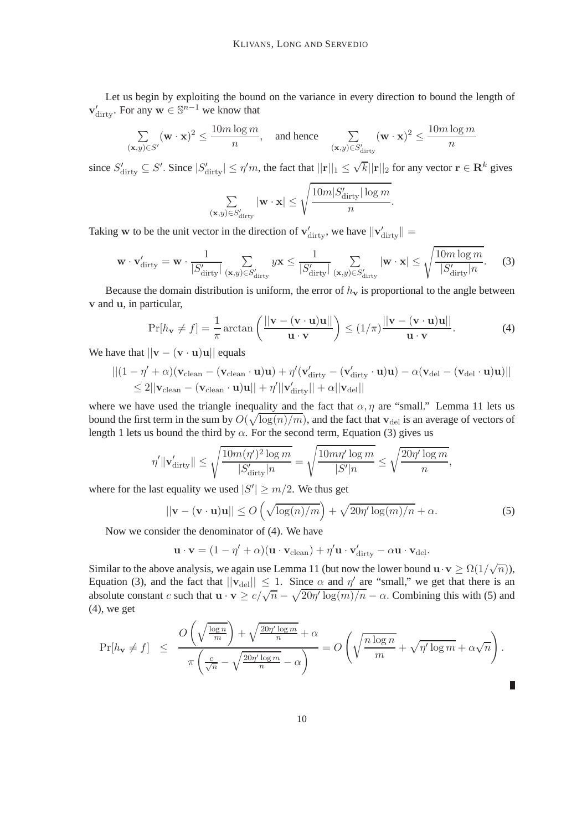Let us begin by exploiting the bound on the variance in every direction to bound the length of  $\mathbf{v}'_{\text{dirty}}$ . For any  $\mathbf{w} \in \mathbb{S}^{n-1}$  we know that

$$
\sum_{(\mathbf{x},y)\in S'} (\mathbf{w}\cdot\mathbf{x})^2 \le \frac{10m\log m}{n}, \quad \text{and hence} \quad \sum_{(\mathbf{x},y)\in S'_{\text{dirty}}} (\mathbf{w}\cdot\mathbf{x})^2 \le \frac{10m\log m}{n}
$$

since  $S'_{\text{dirty}} \subseteq S'$ . Since  $|S'_{\text{dirty}}| \le \eta' m$ , the fact that  $||\mathbf{r}||_1 \le \sqrt{k}||\mathbf{r}||_2$  for any vector  $\mathbf{r} \in \mathbf{R}^k$  gives

$$
\sum_{(\mathbf{x},y) \in S'_{\text{dirty}} } |\mathbf{w} \cdot \mathbf{x}| \leq \sqrt{\frac{10m|S'_{\text{dirty}}| \log m}{n}}.
$$

Taking w to be the unit vector in the direction of  $\mathbf{v}'_{\text{dirty}}$ , we have  $\|\mathbf{v}'_{\text{dirty}}\|$  =

$$
\mathbf{w} \cdot \mathbf{v}_{\text{dirty}}' = \mathbf{w} \cdot \frac{1}{|S_{\text{dirty}}'|} \sum_{(\mathbf{x}, y) \in S_{\text{dirty}}'} y\mathbf{x} \le \frac{1}{|S_{\text{dirty}}'|} \sum_{(\mathbf{x}, y) \in S_{\text{dirty}}'} |\mathbf{w} \cdot \mathbf{x}| \le \sqrt{\frac{10m \log m}{|S_{\text{dirty}}'|n}}. \tag{3}
$$

Because the domain distribution is uniform, the error of  $h_{\mathbf{v}}$  is proportional to the angle between v and u, in particular,

$$
\Pr[h_{\mathbf{v}} \neq f] = \frac{1}{\pi} \arctan\left(\frac{||\mathbf{v} - (\mathbf{v} \cdot \mathbf{u})\mathbf{u}||}{\mathbf{u} \cdot \mathbf{v}}\right) \leq (1/\pi) \frac{||\mathbf{v} - (\mathbf{v} \cdot \mathbf{u})\mathbf{u}||}{\mathbf{u} \cdot \mathbf{v}}.
$$
 (4)

We have that  $||\mathbf{v} - (\mathbf{v} \cdot \mathbf{u})\mathbf{u}||$  equals

$$
\begin{aligned} || (1-\eta' + \alpha) (\mathbf{v}_{clean} - (\mathbf{v}_{clean} \cdot \mathbf{u}) \mathbf{u}) + \eta' (\mathbf{v}_{dirty}' - (\mathbf{v}_{dirty}' \cdot \mathbf{u}) \mathbf{u}) - \alpha (\mathbf{v}_{del} - (\mathbf{v}_{del} \cdot \mathbf{u}) \mathbf{u}) || \\ & \leq 2 || \mathbf{v}_{clean} - (\mathbf{v}_{clean} \cdot \mathbf{u}) \mathbf{u} || + \eta' || \mathbf{v}_{dirty}' || + \alpha || \mathbf{v}_{del} || \end{aligned}
$$

where we have used the triangle inequality and the fact that  $\alpha$ ,  $\eta$  are "small." Lemma 11 lets us bound the first term in the sum by  $O(\sqrt{\log(n)/m})$ , and the fact that  $\mathbf{v}_{\text{del}}$  is an average of vectors of length 1 lets us bound the third by  $\alpha$ . For the second term, Equation (3) gives us

$$
\eta' \|\mathbf{v}_{\text{dirty}}'\| \leq \sqrt{\frac{10m(\eta')^2\log m}{|S_{\text{dirty}}'|n}} = \sqrt{\frac{10m\eta'\log m}{|S'|n}} \leq \sqrt{\frac{20\eta'\log m}{n}},
$$

where for the last equality we used  $|S'| \ge m/2$ . We thus get

$$
||\mathbf{v} - (\mathbf{v} \cdot \mathbf{u})\mathbf{u}|| \le O\left(\sqrt{\log(n)/m}\right) + \sqrt{20\eta' \log(m)/n} + \alpha.
$$
 (5)

Now we consider the denominator of (4). We have

$$
\mathbf{u} \cdot \mathbf{v} = (1 - \eta' + \alpha)(\mathbf{u} \cdot \mathbf{v}_{clean}) + \eta' \mathbf{u} \cdot \mathbf{v}_{dirty}' - \alpha \mathbf{u} \cdot \mathbf{v}_{del}.
$$

Similar to the above analysis, we again use Lemma 11 (but now the lower bound  $\mathbf{u} \cdot \mathbf{v} \ge \Omega(1/\sqrt{n})$ ), Equation (3), and the fact that  $||\mathbf{v}_{\text{del}}|| \leq 1$ . Since  $\alpha$  and  $\eta'$  are "small," we get that there is an absolute constant c such that  $\mathbf{u} \cdot \mathbf{v} \ge c/\sqrt{n} - \sqrt{20\eta' \log(m)/n} - \alpha$ . Combining this with (5) and (4), we get

$$
\Pr[h_{\mathbf{v}} \neq f] \leq \frac{O\left(\sqrt{\frac{\log n}{m}}\right) + \sqrt{\frac{20\eta' \log m}{n}} + \alpha}{\pi \left(\frac{c}{\sqrt{n}} - \sqrt{\frac{20\eta' \log m}{n}} - \alpha\right)} = O\left(\sqrt{\frac{n \log n}{m}} + \sqrt{\eta' \log m} + \alpha \sqrt{n}\right).
$$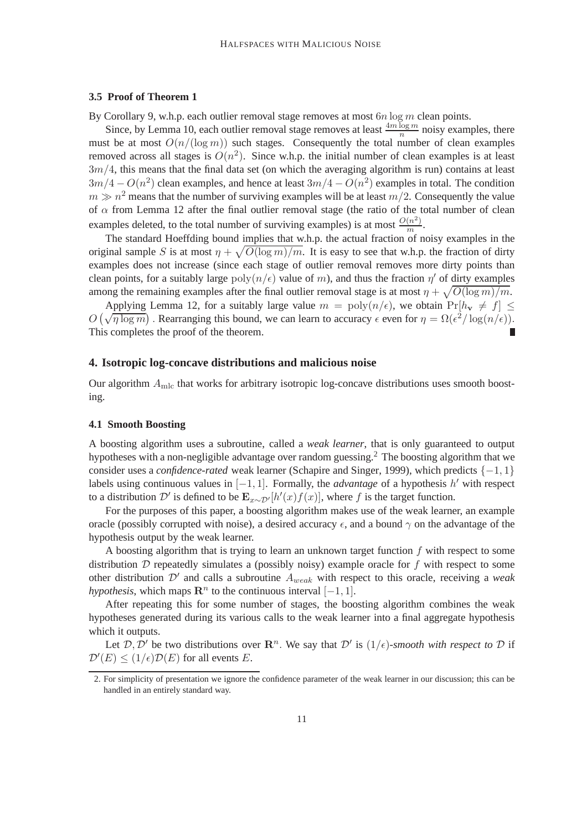#### **3.5 Proof of Theorem 1**

By Corollary 9, w.h.p. each outlier removal stage removes at most  $6n \log m$  clean points.

Since, by Lemma 10, each outlier removal stage removes at least  $\frac{4m \log m}{n}$  noisy examples, there must be at most  $O(n/(\log m))$  such stages. Consequently the total number of clean examples removed across all stages is  $O(n^2)$ . Since w.h.p. the initial number of clean examples is at least  $3m/4$ , this means that the final data set (on which the averaging algorithm is run) contains at least  $3m/4 - O(n^2)$  clean examples, and hence at least  $3m/4 - O(n^2)$  examples in total. The condition  $m \gg n^2$  means that the number of surviving examples will be at least  $m/2$ . Consequently the value of  $\alpha$  from Lemma 12 after the final outlier removal stage (the ratio of the total number of clean examples deleted, to the total number of surviving examples) is at most  $\frac{O(n^2)}{m}$  $\frac{(n^{-})}{m}$ .

The standard Hoeffding bound implies that w.h.p. the actual fraction of noisy examples in the original sample S is at most  $\eta + \sqrt{O(\log m)/m}$ . It is easy to see that w.h.p. the fraction of dirty examples does not increase (since each stage of outlier removal removes more dirty points than clean points, for a suitably large  $poly(n/\epsilon)$  value of m), and thus the fraction  $\eta'$  of dirty examples among the remaining examples after the final outlier removal stage is at most  $\eta + \sqrt{O(\log m)/m}$ .

Applying Lemma 12, for a suitably large value  $m = \text{poly}(n/\epsilon)$ , we obtain  $\Pr[h_{\mathbf{v}} \neq f] \leq$  $O(\sqrt{n \log m})$ . Rearranging this bound, we can learn to accuracy  $\epsilon$  even for  $\eta = \Omega(\epsilon^2/\log(n/\epsilon))$ . This completes the proof of the theorem.

# **4. Isotropic log-concave distributions and malicious noise**

Our algorithm  $A<sub>mlc</sub>$  that works for arbitrary isotropic log-concave distributions uses smooth boosting.

#### **4.1 Smooth Boosting**

A boosting algorithm uses a subroutine, called a *weak learner*, that is only guaranteed to output hypotheses with a non-negligible advantage over random guessing.<sup>2</sup> The boosting algorithm that we consider uses a *confidence-rated* weak learner (Schapire and Singer, 1999), which predicts {−1, 1} labels using continuous values in  $[-1, 1]$ . Formally, the *advantage* of a hypothesis  $h'$  with respect to a distribution  $\mathcal{D}'$  is defined to be  $\mathbf{E}_{x \sim \mathcal{D}'}[h'(x)f(x)]$ , where f is the target function.

For the purposes of this paper, a boosting algorithm makes use of the weak learner, an example oracle (possibly corrupted with noise), a desired accuracy  $\epsilon$ , and a bound  $\gamma$  on the advantage of the hypothesis output by the weak learner.

A boosting algorithm that is trying to learn an unknown target function  $f$  with respect to some distribution  $D$  repeatedly simulates a (possibly noisy) example oracle for  $f$  with respect to some other distribution  $\mathcal{D}'$  and calls a subroutine  $A_{weak}$  with respect to this oracle, receiving a *weak hypothesis*, which maps  $\mathbb{R}^n$  to the continuous interval  $[-1, 1]$ .

After repeating this for some number of stages, the boosting algorithm combines the weak hypotheses generated during its various calls to the weak learner into a final aggregate hypothesis which it outputs.

Let  $D, D'$  be two distributions over  $\mathbb{R}^n$ . We say that  $D'$  is  $(1/\epsilon)$ *-smooth with respect to*  $D$  if  $\mathcal{D}'(E) \leq (1/\epsilon)\mathcal{D}(E)$  for all events E.

<sup>2.</sup> For simplicity of presentation we ignore the confidence parameter of the weak learner in our discussion; this can be handled in an entirely standard way.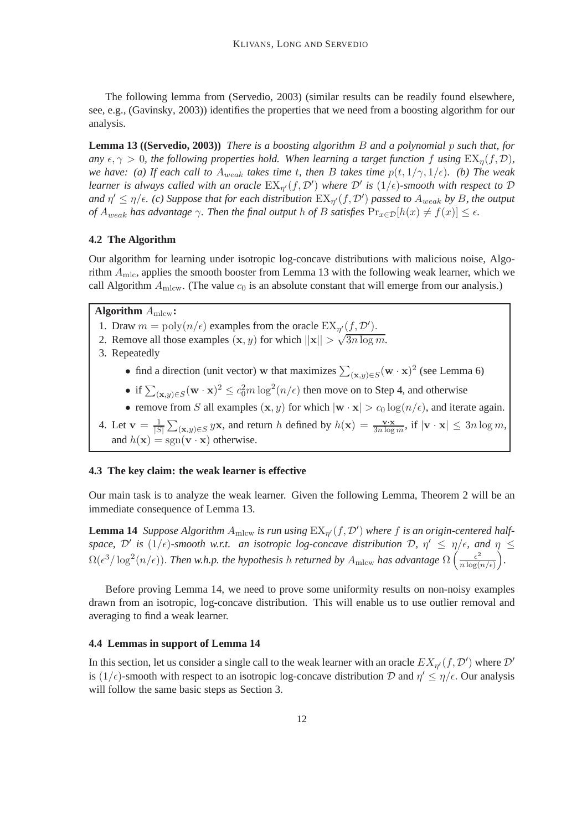The following lemma from (Servedio, 2003) (similar results can be readily found elsewhere, see, e.g., (Gavinsky, 2003)) identifies the properties that we need from a boosting algorithm for our analysis.

**Lemma 13 ((Servedio, 2003))** *There is a boosting algorithm* B *and a polynomial* p *such that, for any*  $\epsilon, \gamma > 0$ , the following properties hold. When learning a target function f using  $EX_n(f, \mathcal{D})$ , *we have:* (a) If each call to  $A_{weak}$  *takes time* t, then B *takes time*  $p(t, 1/\gamma, 1/\epsilon)$ *.* (b) The weak *learner is always called with an oracle*  $\operatorname{EX}_{\eta'}(f, \mathcal{D}')$  *where*  $\mathcal{D}'$  *is*  $(1/\epsilon)$ *-smooth with respect to*  $\mathcal D$ and  $\eta' \leq \eta/\epsilon$ . (c) Suppose that for each distribution  $\mathrm{EX}_{\eta'}(f, \mathcal{D}')$  passed to  $A_{weak}$  by  $B$ , the output *of*  $A_{weak}$  *has advantage*  $\gamma$ *. Then the final output* h *of* B *satisfies*  $\Pr_{x \in \mathcal{D}}[h(x) \neq f(x)] \leq \epsilon$ *.* 

#### **4.2 The Algorithm**

Our algorithm for learning under isotropic log-concave distributions with malicious noise, Algorithm  $A_{\text{mlc}}$ , applies the smooth booster from Lemma 13 with the following weak learner, which we call Algorithm  $A<sub>mlcw</sub>$ . (The value  $c<sub>0</sub>$  is an absolute constant that will emerge from our analysis.)

**Algorithm** Amlcw**:**

- 1. Draw  $m = \text{poly}(n/\epsilon)$  examples from the oracle  $\text{EX}_{\eta'}(f, \mathcal{D}').$
- 2. Remove all those examples  $(\mathbf{x}, y)$  for which  $||\mathbf{x}|| > \sqrt{3n \log m}$ .
- 3. Repeatedly
	- find a direction (unit vector) w that maximizes  $\sum_{(\mathbf{x},y)\in S} (\mathbf{w} \cdot \mathbf{x})^2$  (see Lemma 6)
	- if  $\sum_{(\mathbf{x},y)\in S} (\mathbf{w}\cdot\mathbf{x})^2 \leq c_0^2 m \log^2(n/\epsilon)$  then move on to Step 4, and otherwise
	- remove from S all examples  $(x, y)$  for which  $|w \cdot x| > c_0 \log(n/\epsilon)$ , and iterate again.
- 4. Let  $\mathbf{v} = \frac{1}{|S|} \sum_{(\mathbf{x},y) \in S} y\mathbf{x}$ , and return h defined by  $h(\mathbf{x}) = \frac{\mathbf{v} \cdot \mathbf{x}}{3n \log m}$ , if  $|\mathbf{v} \cdot \mathbf{x}| \leq 3n \log m$ , and  $h(\mathbf{x}) = \text{sgn}(\mathbf{v} \cdot \mathbf{x})$  otherwise.

#### **4.3 The key claim: the weak learner is effective**

Our main task is to analyze the weak learner. Given the following Lemma, Theorem 2 will be an immediate consequence of Lemma 13.

**Lemma 14** *Suppose Algorithm*  $A_{\text{mlcw}}$  *is run using*  $EX_{\eta'}(f, \mathcal{D}')$  *where*  $f$  *is an origin-centered halfspace,*  $\mathcal{D}'$  *is*  $(1/\epsilon)$ *-smooth w.r.t. an isotropic log-concave distribution*  $\mathcal{D}$ *,*  $\eta' \leq \eta/\epsilon$ *, and*  $\eta \leq$  $\Omega(\epsilon^3/\log^2(n/\epsilon))$ . *Then w.h.p. the hypothesis h returned by*  $A_{\text{mlcw}}$  *has advantage*  $\Omega\left(\frac{\epsilon^2}{n\log\epsilon}\right)$  $n \log(n/\epsilon)$ *.*

Before proving Lemma 14, we need to prove some uniformity results on non-noisy examples drawn from an isotropic, log-concave distribution. This will enable us to use outlier removal and averaging to find a weak learner.

#### **4.4 Lemmas in support of Lemma 14**

In this section, let us consider a single call to the weak learner with an oracle  $EX_{\eta'}(f, \mathcal{D}')$  where  $\mathcal{D}'$ is  $(1/\epsilon)$ -smooth with respect to an isotropic log-concave distribution D and  $\eta' \leq \eta/\epsilon$ . Our analysis will follow the same basic steps as Section 3.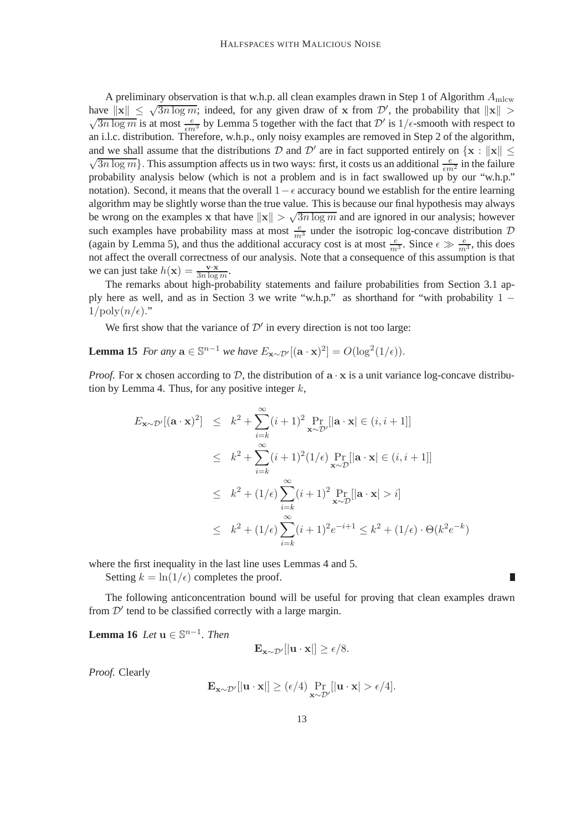A preliminary observation is that w.h.p. all clean examples drawn in Step 1 of Algorithm  $A_{\text{mlcw}}$ have  $\|\mathbf{x}\| \leq \sqrt{3n \log m}$ ; indeed, for any given draw of x from D', the probability that  $\|\mathbf{x}\|$  >  $\sqrt{3n \log m}$  is at most  $\frac{e}{\epsilon m^3}$  by Lemma 5 together with the fact that  $\mathcal{D}'$  is  $1/\epsilon$ -smooth with respect to an i.l.c. distribution. Therefore, w.h.p., only noisy examples are removed in Step 2 of the algorithm, and we shall assume that the distributions D and D' are in fact supported entirely on  $\{x : ||x|| \leq \}$  $\sqrt{3n \log m}$ . This assumption affects us in two ways: first, it costs us an additional  $\frac{e}{\epsilon m^2}$  in the failure probability analysis below (which is not a problem and is in fact swallowed up by our "w.h.p." notation). Second, it means that the overall  $1-\epsilon$  accuracy bound we establish for the entire learning algorithm may be slightly worse than the true value. This is because our final hypothesis may always be wrong on the examples x that have  $\|\mathbf{x}\| > \sqrt{3n \log m}$  and are ignored in our analysis; however such examples have probability mass at most  $\frac{e}{m^3}$  under the isotropic log-concave distribution  $\mathcal D$ (again by Lemma 5), and thus the additional accuracy cost is at most  $\frac{e}{m^3}$ . Since  $\epsilon \gg \frac{e}{m^3}$ , this does not affect the overall correctness of our analysis. Note that a consequence of this assumption is that we can just take  $h(\mathbf{x}) = \frac{\mathbf{v} \cdot \mathbf{x}}{3n \log m}$ .

The remarks about high-probability statements and failure probabilities from Section 3.1 apply here as well, and as in Section 3 we write "w.h.p." as shorthand for "with probability  $1 1/\text{poly}(n/\epsilon)$ ."

We first show that the variance of  $\mathcal{D}'$  in every direction is not too large:

**Lemma 15** *For any*  $\mathbf{a} \in \mathbb{S}^{n-1}$  *we have*  $E_{\mathbf{x} \sim \mathcal{D}'}[(\mathbf{a} \cdot \mathbf{x})^2] = O(\log^2(1/\epsilon)).$ 

*Proof.* For x chosen according to D, the distribution of  $\mathbf{a} \cdot \mathbf{x}$  is a unit variance log-concave distribution by Lemma 4. Thus, for any positive integer  $k$ ,

$$
E_{\mathbf{x}\sim\mathcal{D}'}[(\mathbf{a}\cdot\mathbf{x})^2] \leq k^2 + \sum_{i=k}^{\infty} (i+1)^2 \Pr_{\mathbf{x}\sim\mathcal{D}'}[|\mathbf{a}\cdot\mathbf{x}| \in (i,i+1]]
$$
  
\n
$$
\leq k^2 + \sum_{i=k}^{\infty} (i+1)^2 (1/\epsilon) \Pr_{\mathbf{x}\sim\mathcal{D}}[|\mathbf{a}\cdot\mathbf{x}| \in (i,i+1]]
$$
  
\n
$$
\leq k^2 + (1/\epsilon) \sum_{i=k}^{\infty} (i+1)^2 \Pr_{\mathbf{x}\sim\mathcal{D}}[|\mathbf{a}\cdot\mathbf{x}| > i]
$$
  
\n
$$
\leq k^2 + (1/\epsilon) \sum_{i=k}^{\infty} (i+1)^2 e^{-i+1} \leq k^2 + (1/\epsilon) \cdot \Theta(k^2 e^{-k})
$$

where the first inequality in the last line uses Lemmas 4 and 5.

Setting  $k = \ln(1/\epsilon)$  completes the proof.

The following anticoncentration bound will be useful for proving that clean examples drawn from  $\mathcal{D}'$  tend to be classified correctly with a large margin.

П

**Lemma 16** *Let*  $u \in \mathbb{S}^{n-1}$ *. Then* 

$$
\mathbf{E}_{\mathbf{x} \sim \mathcal{D}'}[|\mathbf{u} \cdot \mathbf{x}|] \geq \epsilon/8.
$$

*Proof.* Clearly

$$
\mathbf{E}_{\mathbf{x} \sim \mathcal{D}'}[|\mathbf{u} \cdot \mathbf{x}|] \geq (\epsilon/4) \Pr_{\mathbf{x} \sim \mathcal{D}'}[|\mathbf{u} \cdot \mathbf{x}| > \epsilon/4].
$$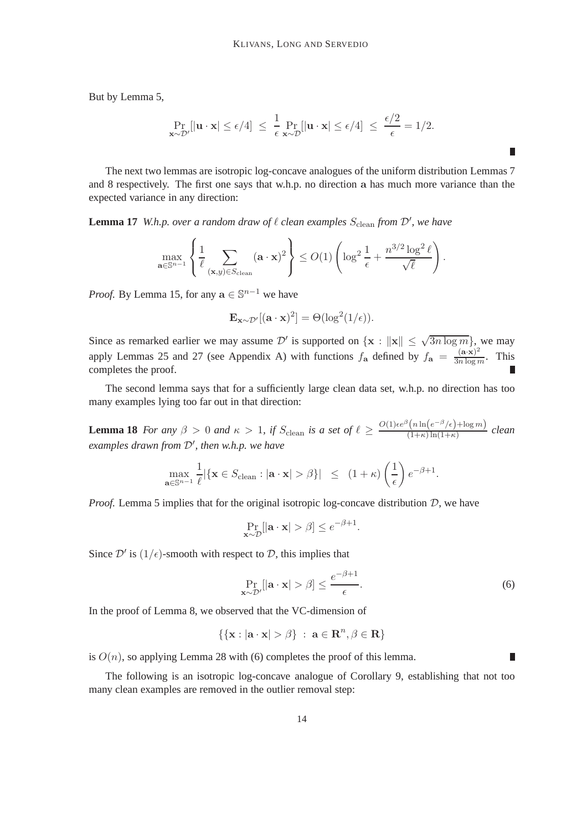But by Lemma 5,

$$
\Pr_{\mathbf{x} \sim \mathcal{D}'}[|\mathbf{u} \cdot \mathbf{x}| \le \epsilon/4] \le \frac{1}{\epsilon} \Pr_{\mathbf{x} \sim \mathcal{D}}[|\mathbf{u} \cdot \mathbf{x}| \le \epsilon/4] \le \frac{\epsilon/2}{\epsilon} = 1/2.
$$

The next two lemmas are isotropic log-concave analogues of the uniform distribution Lemmas 7 and 8 respectively. The first one says that w.h.p. no direction a has much more variance than the expected variance in any direction:

**Lemma 17** *W.h.p. over a random draw of ℓ clean examples*  $S_{\text{clean}}$  *from*  $D'$ *, we have* 

$$
\max_{\mathbf{a}\in\mathbb{S}^{n-1}}\left\{\frac{1}{\ell}\sum_{(\mathbf{x},y)\in S_{\text{clean}} }(\mathbf{a}\cdot\mathbf{x})^2\right\}\leq O(1)\left(\log^2\frac{1}{\epsilon}+\frac{n^{3/2}\log^2\ell}{\sqrt{\ell}}\right).
$$

*Proof.* By Lemma 15, for any  $\mathbf{a} \in \mathbb{S}^{n-1}$  we have

$$
\mathbf{E}_{\mathbf{x} \sim \mathcal{D}'}[(\mathbf{a} \cdot \mathbf{x})^2] = \Theta(\log^2(1/\epsilon)).
$$

Since as remarked earlier we may assume D' is supported on  $\{x : ||x|| \leq \sqrt{3n \log m}\}$ , we may apply Lemmas 25 and 27 (see Appendix A) with functions  $f_a$  defined by  $f_a = \frac{(a \cdot x)^2}{3n \log m}$ . This completes the proof.

The second lemma says that for a sufficiently large clean data set, w.h.p. no direction has too many examples lying too far out in that direction:

**Lemma 18** *For any*  $\beta > 0$  *and*  $\kappa > 1$ , *if*  $S_{\text{clean}}$  *is a set of*  $\ell \geq \frac{O(1)\epsilon e^{\beta}(n \ln(e^{-\beta}/\epsilon) + \log m)}{(1+\kappa)\ln(1+\kappa)}$  $\frac{(\kappa \ln(e^{-\gamma c}) + \log m)}{(1+\kappa)\ln(1+\kappa)}$  clean *examples drawn from* D′ *, then w.h.p. we have*

$$
\max_{{\mathbf a} \in \mathbb{S}^{n-1}} \frac{1}{\ell} \big| \{{\mathbf x} \in S_{\rm clean}: |{\mathbf a} \cdot {\mathbf x}| > \beta \} \big| \ \le \ (1+\kappa) \left(\frac{1}{\epsilon}\right) e^{-\beta + 1}.
$$

*Proof.* Lemma 5 implies that for the original isotropic log-concave distribution  $D$ , we have

$$
\Pr_{\mathbf{x}\sim\mathcal{D}}[|\mathbf{a}\cdot\mathbf{x}|>\beta]\leq e^{-\beta+1}.
$$

Since  $\mathcal{D}'$  is  $(1/\epsilon)$ -smooth with respect to  $\mathcal{D}$ , this implies that

$$
\Pr_{\mathbf{x}\sim\mathcal{D}'}[|\mathbf{a}\cdot\mathbf{x}|>\beta] \le \frac{e^{-\beta+1}}{\epsilon}.\tag{6}
$$

In the proof of Lemma 8, we observed that the VC-dimension of

$$
\{\{\mathbf x: |\mathbf a \cdot \mathbf x| > \beta\} \; : \; \mathbf a \in \mathbf R^n, \beta \in \mathbf R\}
$$

is  $O(n)$ , so applying Lemma 28 with (6) completes the proof of this lemma.

The following is an isotropic log-concave analogue of Corollary 9, establishing that not too many clean examples are removed in the outlier removal step:

П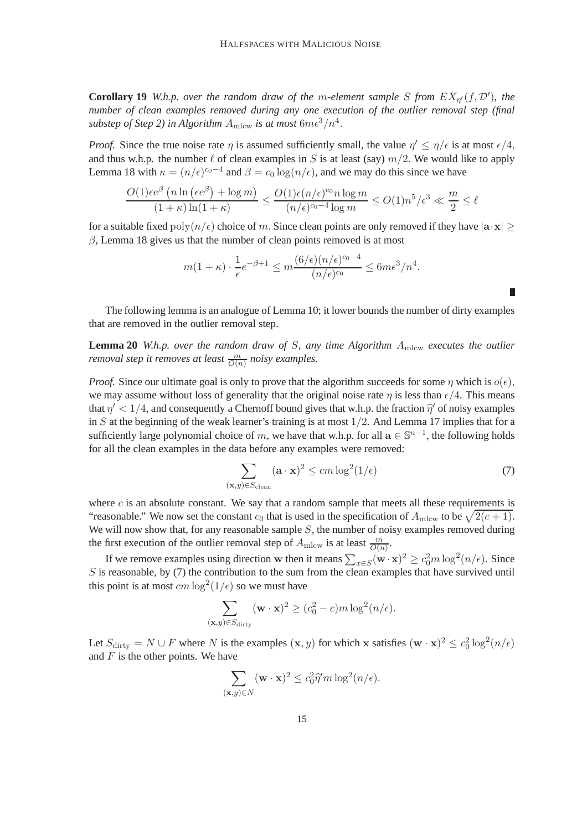**Corollary 19** *W.h.p. over the random draw of the m-element sample* S from  $EX_{\eta'}(f, \mathcal{D}')$ , the *number of clean examples removed during any one execution of the outlier removal step (final* substep of Step 2) in Algorithm  $A_{\rm mlow}$  is at most  $6m\epsilon^3/n^4.$ 

*Proof.* Since the true noise rate  $\eta$  is assumed sufficiently small, the value  $\eta' \leq \eta/\epsilon$  is at most  $\epsilon/4$ , and thus w.h.p. the number  $\ell$  of clean examples in S is at least (say)  $m/2$ . We would like to apply Lemma 18 with  $\kappa = (n/\epsilon)^{c_0 - 4}$  and  $\beta = c_0 \log(n/\epsilon)$ , and we may do this since we have

$$
\frac{O(1)\epsilon e^{\beta} \left(n \ln \left(\epsilon e^{\beta}\right) + \log m\right)}{(1+\kappa)\ln(1+\kappa)} \le \frac{O(1)\epsilon (n/\epsilon)^{c_0} n \log m}{(n/\epsilon)^{c_0-4} \log m} \le O(1)n^5/\epsilon^3 \ll \frac{m}{2} \le \ell
$$

for a suitable fixed poly $(n/\epsilon)$  choice of m. Since clean points are only removed if they have  $|\mathbf{a} \cdot \mathbf{x}| \ge$  $\beta$ , Lemma 18 gives us that the number of clean points removed is at most

$$
m(1+\kappa) \cdot \frac{1}{\epsilon} e^{-\beta+1} \le m \frac{(6/\epsilon)(n/\epsilon)^{c_0-4}}{(n/\epsilon)^{c_0}} \le 6m\epsilon^3/n^4.
$$

The following lemma is an analogue of Lemma 10; it lower bounds the number of dirty examples that are removed in the outlier removal step.

**Lemma 20** *W.h.p. over the random draw of S, any time Algorithm A<sub>mlcw</sub> executes the outlier removal step it removes at least*  $\frac{m}{O(n)}$  noisy examples.

*Proof.* Since our ultimate goal is only to prove that the algorithm succeeds for some  $\eta$  which is  $o(\epsilon)$ , we may assume without loss of generality that the original noise rate  $\eta$  is less than  $\epsilon/4$ . This means that  $\eta' < 1/4$ , and consequently a Chernoff bound gives that w.h.p. the fraction  $\hat{\eta}'$  of noisy examples in  $S$  at the beginning of the weak learner's training is at most  $1/2$ . And Lemma 17 implies that for a sufficiently large polynomial choice of m, we have that w.h.p. for all  $\mathbf{a} \in \mathbb{S}^{n-1}$ , the following holds for all the clean examples in the data before any examples were removed:

$$
\sum_{(\mathbf{x},y)\in S_{\text{clean}}} (\mathbf{a} \cdot \mathbf{x})^2 \le cm \log^2(1/\epsilon)
$$
 (7)

П

where  $c$  is an absolute constant. We say that a random sample that meets all these requirements is "reasonable." We now set the constant  $c_0$  that is used in the specification of  $A_{\text{mlcw}}$  to be  $\sqrt{2(c+1)}$ . We will now show that, for any reasonable sample  $S$ , the number of noisy examples removed during the first execution of the outlier removal step of  $A_{\text{mlcw}}$  is at least  $\frac{m}{O(n)}$ .

If we remove examples using direction w then it means  $\sum_{x \in S} (\mathbf{w} \cdot \mathbf{x})^2 \ge c_0^2 m \log^2(n/\epsilon)$ . Since  $S$  is reasonable, by  $(7)$  the contribution to the sum from the clean examples that have survived until this point is at most  $cm \log^2(1/\epsilon)$  so we must have

$$
\sum_{(\mathbf{x},y)\in S_{\text{dirty}}} (\mathbf{w}\cdot\mathbf{x})^2 \ge (c_0^2 - c)m \log^2(n/\epsilon).
$$

Let  $S_{\text{dirty}} = N \cup F$  where N is the examples  $(x, y)$  for which x satisfies  $(w \cdot x)^2 \le c_0^2 \log^2(n/\epsilon)$ and  $F$  is the other points. We have

$$
\sum_{(\mathbf{x},y)\in N} (\mathbf{w}\cdot\mathbf{x})^2 \le c_0^2 \hat{\eta}^{\prime} m \log^2(n/\epsilon).
$$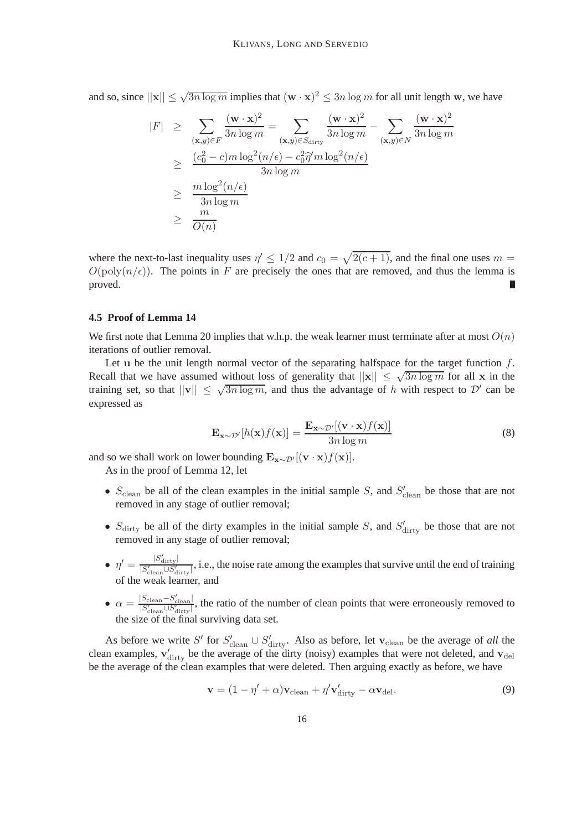and so, since  $||\mathbf{x}|| \leq \sqrt{3n \log m}$  implies that  $(\mathbf{w} \cdot \mathbf{x})^2 \leq 3n \log m$  for all unit length w, we have

$$
|F| \geq \sum_{(\mathbf{x},y)\in F} \frac{(\mathbf{w}\cdot\mathbf{x})^2}{3n\log m} = \sum_{(\mathbf{x},y)\in S_{\text{dirty}}} \frac{(\mathbf{w}\cdot\mathbf{x})^2}{3n\log m} - \sum_{(\mathbf{x},y)\in N} \frac{(\mathbf{w}\cdot\mathbf{x})^2}{3n\log m}
$$
  
\n
$$
\geq \frac{(c_0^2 - c)m\log^2(n/\epsilon) - c_0^2 \hat{\eta}^2 m \log^2(n/\epsilon)}{3n\log m}
$$
  
\n
$$
\geq \frac{m\log^2(n/\epsilon)}{3n\log m}
$$
  
\n
$$
\geq \frac{m}{O(n)}
$$

where the next-to-last inequality uses  $\eta' \leq 1/2$  and  $c_0 = \sqrt{2(c+1)}$ , and the final one uses  $m =$  $O(poly(n/\epsilon))$ . The points in F are precisely the ones that are removed, and thus the lemma is proved. П

#### **4.5 Proof of Lemma 14**

We first note that Lemma 20 implies that w.h.p. the weak learner must terminate after at most  $O(n)$ iterations of outlier removal.

Let u be the unit length normal vector of the separating halfspace for the target function  $f$ . Recall that we have assumed without loss of generality that  $||\mathbf{x}|| \leq \sqrt{3n \log m}$  for all x in the training set, so that  $||v|| \leq \sqrt{3n \log m}$ , and thus the advantage of h with respect to  $\mathcal{D}'$  can be expressed as

$$
\mathbf{E}_{\mathbf{x}\sim\mathcal{D}'}[h(\mathbf{x})f(\mathbf{x})] = \frac{\mathbf{E}_{\mathbf{x}\sim\mathcal{D}'}[(\mathbf{v}\cdot\mathbf{x})f(\mathbf{x})]}{3n\log m}
$$
(8)

and so we shall work on lower bounding  $\mathbf{E}_{\mathbf{x} \sim \mathcal{D}'}[(\mathbf{v} \cdot \mathbf{x})f(\mathbf{x})].$ 

As in the proof of Lemma 12, let

- $S_{\text{clean}}$  be all of the clean examples in the initial sample S, and  $S'_{\text{clean}}$  be those that are not removed in any stage of outlier removal;
- $S_{\text{dirty}}$  be all of the dirty examples in the initial sample S, and  $S'_{\text{dirty}}$  be those that are not removed in any stage of outlier removal;
- $\eta' = \frac{|S'_{\text{dirty}}|}{|S'_{\text{clean}} \cup S'_{\text{d}}|}$  $\frac{|S'_{\text{dirty}}|}{|S'_{\text{clean}} \cup S'_{\text{dirty}}|}$ , i.e., the noise rate among the examples that survive until the end of training of the weak learner, and
- $\alpha = \frac{|S_{\text{clean}} S_{\text{clean}}'|}{|S_{\text{clean}}' \cup S_{\text{dirty}}'|}$ , the ratio of the number of clean points that were erroneously removed to the size of the final surviving data set.

As before we write S' for  $S_{\text{clean}}' \cup S_{\text{dirty}}'$ . Also as before, let  $\mathbf{v}_{\text{clean}}$  be the average of *all* the clean examples,  $v_{\text{dirty}}'$  be the average of the dirty (noisy) examples that were not deleted, and  $v_{\text{del}}$ be the average of the clean examples that were deleted. Then arguing exactly as before, we have

$$
\mathbf{v} = (1 - \eta' + \alpha)\mathbf{v}_{\text{clean}} + \eta'\mathbf{v}_{\text{dirty}}' - \alpha\mathbf{v}_{\text{del}}.
$$
\n(9)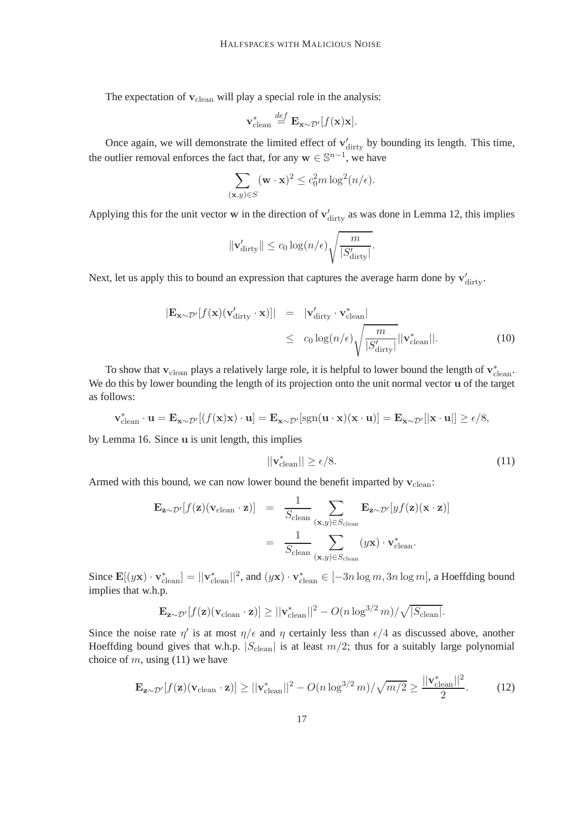The expectation of  $v_{clean}$  will play a special role in the analysis:

$$
\mathbf{v}_{\text{clean}}^* \stackrel{def}{=} \mathbf{E}_{\mathbf{x} \sim \mathcal{D}'}[f(\mathbf{x})\mathbf{x}].
$$

Once again, we will demonstrate the limited effect of  $\mathbf{v}'_{\text{dirty}}$  by bounding its length. This time, the outlier removal enforces the fact that, for any  $w \in \mathbb{S}^{n-1}$ , we have

$$
\sum_{(\mathbf{x},y)\in S} (\mathbf{w}\cdot\mathbf{x})^2 \le c_0^2 m \log^2(n/\epsilon).
$$

Applying this for the unit vector w in the direction of  $v'_{\text{dirty}}$  as was done in Lemma 12, this implies

$$
\|\mathbf{v}_{\text{dirty}}'\| \le c_0 \log(n/\epsilon) \sqrt{\frac{m}{|S_{\text{dirty}}'|}}.
$$

Next, let us apply this to bound an expression that captures the average harm done by  $v'_{\text{dirty}}$ .

$$
|\mathbf{E}_{\mathbf{x} \sim \mathcal{D}'}[f(\mathbf{x})(\mathbf{v}_{\text{dirty}}' \cdot \mathbf{x})]| = |\mathbf{v}_{\text{dirty}}' \cdot \mathbf{v}_{\text{clean}}^*|
$$
  

$$
\leq c_0 \log(n/\epsilon) \sqrt{\frac{m}{|S_{\text{dirty}}'|}} ||\mathbf{v}_{\text{clean}}^*||. \tag{10}
$$

To show that  $v_{clean}$  plays a relatively large role, it is helpful to lower bound the length of  $v_{clean}^*$ . We do this by lower bounding the length of its projection onto the unit normal vector u of the target as follows:

$$
\mathbf{v}_{\text{clean}}^* \cdot \mathbf{u} = \mathbf{E}_{\mathbf{x} \sim \mathcal{D}'}[(f(\mathbf{x})\mathbf{x}) \cdot \mathbf{u}] = \mathbf{E}_{\mathbf{x} \sim \mathcal{D}'}[\text{sgn}(\mathbf{u} \cdot \mathbf{x})(\mathbf{x} \cdot \mathbf{u})] = \mathbf{E}_{\mathbf{x} \sim \mathcal{D}'}[|\mathbf{x} \cdot \mathbf{u}|] \ge \epsilon/8,
$$

by Lemma 16. Since u is unit length, this implies

$$
||\mathbf{v}_{\text{clean}}^*|| \ge \epsilon/8. \tag{11}
$$

Armed with this bound, we can now lower bound the benefit imparted by  $v_{clean}$ .

$$
\mathbf{E}_{\mathbf{z} \sim \mathcal{D}'}[f(\mathbf{z})(\mathbf{v}_{\text{clean}} \cdot \mathbf{z})] = \frac{1}{S_{\text{clean}}}\sum_{(\mathbf{x}, y) \in S_{\text{clean}}}\mathbf{E}_{\mathbf{z} \sim \mathcal{D}'}[y f(\mathbf{z})(\mathbf{x} \cdot \mathbf{z})]
$$

$$
= \frac{1}{S_{\text{clean}}}\sum_{(\mathbf{x}, y) \in S_{\text{clean}}}(y \mathbf{x}) \cdot \mathbf{v}_{\text{clean}}^*.
$$

Since  $\mathbf{E}[(y\mathbf{x}) \cdot \mathbf{v}_{\text{clean}}^*] = ||\mathbf{v}_{\text{clean}}^*||^2$ , and  $(y\mathbf{x}) \cdot \mathbf{v}_{\text{clean}}^* \in [-3n \log m, 3n \log m]$ , a Hoeffding bound implies that w.h.p.

$$
\mathbf{E}_{\mathbf{z} \sim \mathcal{D}'}[f(\mathbf{z})(\mathbf{v}_{\text{clean}} \cdot \mathbf{z})] \ge ||\mathbf{v}_{\text{clean}}^*||^2 - O(n \log^{3/2} m) / \sqrt{|S_{\text{clean}}|}.
$$

Since the noise rate  $\eta'$  is at most  $\eta/\epsilon$  and  $\eta$  certainly less than  $\epsilon/4$  as discussed above, another Hoeffding bound gives that w.h.p.  $|S_{\text{clean}}|$  is at least  $m/2$ ; thus for a suitably large polynomial choice of m, using  $(11)$  we have

$$
\mathbf{E}_{\mathbf{z}\sim\mathcal{D}'}[f(\mathbf{z})(\mathbf{v}_{\text{clean}}\cdot\mathbf{z})] \ge ||\mathbf{v}_{\text{clean}}^*||^2 - O(n\log^{3/2}m)/\sqrt{m/2} \ge \frac{||\mathbf{v}_{\text{clean}}^*||^2}{2}.
$$
 (12)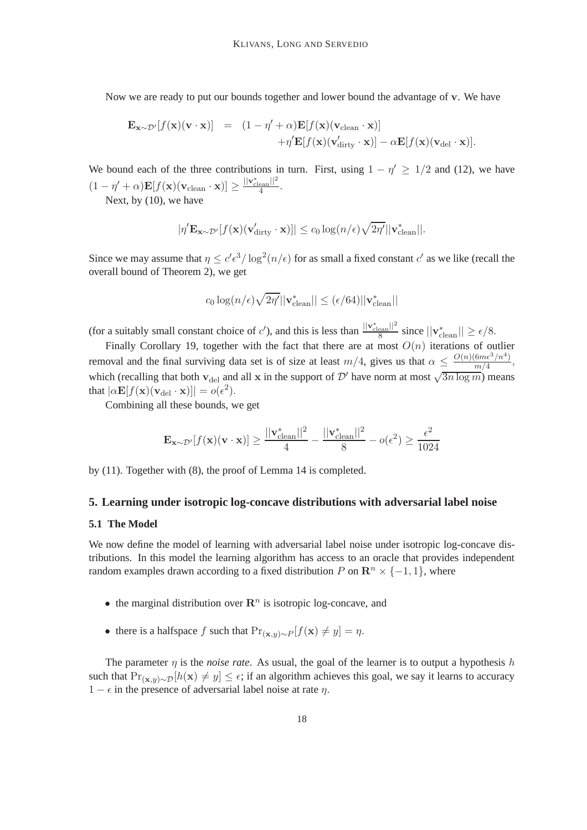Now we are ready to put our bounds together and lower bound the advantage of  $\bf{v}$ . We have

$$
\mathbf{E}_{\mathbf{x} \sim \mathcal{D}'}[f(\mathbf{x})(\mathbf{v} \cdot \mathbf{x})] = (1 - \eta' + \alpha) \mathbf{E}[f(\mathbf{x})(\mathbf{v}_{\text{clean}} \cdot \mathbf{x})] + \eta' \mathbf{E}[f(\mathbf{x})(\mathbf{v}'_{\text{dirty}} \cdot \mathbf{x})] - \alpha \mathbf{E}[f(\mathbf{x})(\mathbf{v}_{\text{del}} \cdot \mathbf{x})].
$$

We bound each of the three contributions in turn. First, using  $1 - \eta' \ge 1/2$  and (12), we have  $(1 - \eta' + \alpha) \mathbf{E}[f(\mathbf{x})(\mathbf{v}_{clean} \cdot \mathbf{x})] \ge \frac{||\mathbf{v}_{clean}^*||^2}{4}.$ 

Next, by  $(10)$ , we have

$$
|\eta'\mathbf{E}_{\mathbf{x} \sim \mathcal{D}'}[f(\mathbf{x})(\mathbf{v}_{\text{dirty}}'\cdot \mathbf{x})]|\leq c_0\log(n/\epsilon)\sqrt{2\eta'}||\mathbf{v}_{\text{clean}}^*||.
$$

Since we may assume that  $\eta \leq c' \epsilon^3 / \log^2(n/\epsilon)$  for as small a fixed constant  $c'$  as we like (recall the overall bound of Theorem 2), we get

$$
c_0 \log(n/\epsilon)\sqrt{2\eta'}||\mathbf{v}_{\text{clean}}^*|| \leq (\epsilon/64)||\mathbf{v}_{\text{clean}}^*||
$$

(for a suitably small constant choice of c'), and this is less than  $\frac{\|\mathbf{v}_{\text{clean}}^*\|^2}{8}$  since  $||\mathbf{v}_{\text{clean}}^*|| \ge \epsilon/8$ .

Finally Corollary 19, together with the fact that there are at most  $O(n)$  iterations of outlier removal and the final surviving data set is of size at least  $m/4$ , gives us that  $\alpha \leq \frac{O(n)(6m\epsilon^3/n^4)}{m/4}$  $\frac{(6m\epsilon^2/n^2)}{m/4},$ which (recalling that both  $\mathbf{v}_{\text{del}}$  and all x in the support of D' have norm at most  $\sqrt{3n \log m}$ ) means that  $|\alpha \mathbf{E}[f(\mathbf{x})(\mathbf{v}_{\text{del}} \cdot \mathbf{x})]| = o(\epsilon^2)$ .

Combining all these bounds, we get

$$
\mathbf{E}_{\mathbf{x} \sim \mathcal{D}'}[f(\mathbf{x})(\mathbf{v} \cdot \mathbf{x})] \ge \frac{||\mathbf{v}_{\text{clean}}^*||^2}{4} - \frac{||\mathbf{v}_{\text{clean}}^*||^2}{8} - o(\epsilon^2) \ge \frac{\epsilon^2}{1024}
$$

by (11). Together with (8), the proof of Lemma 14 is completed.

# **5. Learning under isotropic log-concave distributions with adversarial label noise**

#### **5.1 The Model**

We now define the model of learning with adversarial label noise under isotropic log-concave distributions. In this model the learning algorithm has access to an oracle that provides independent random examples drawn according to a fixed distribution P on  $\mathbb{R}^n \times \{-1,1\}$ , where

- the marginal distribution over  $\mathbb{R}^n$  is isotropic log-concave, and
- there is a halfspace f such that  $Pr_{(x,y)\sim P}[f(x) \neq y] = \eta$ .

The parameter  $\eta$  is the *noise rate*. As usual, the goal of the learner is to output a hypothesis h such that  $Pr_{(x,y)\sim \mathcal{D}}[h(x) \neq y] \leq \epsilon$ ; if an algorithm achieves this goal, we say it learns to accuracy  $1 - \epsilon$  in the presence of adversarial label noise at rate  $\eta$ .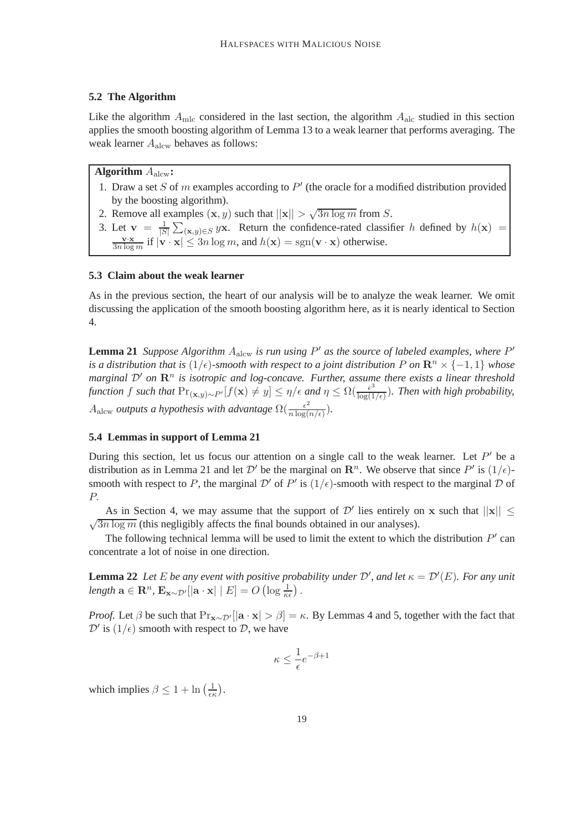#### **5.2 The Algorithm**

Like the algorithm  $A_{\text{mlc}}$  considered in the last section, the algorithm  $A_{\text{alc}}$  studied in this section applies the smooth boosting algorithm of Lemma 13 to a weak learner that performs averaging. The weak learner  $A_{\text{alew}}$  behaves as follows:

**Algorithm** Aalcw**:**

- 1. Draw a set S of m examples according to  $P'$  (the oracle for a modified distribution provided by the boosting algorithm).
- 2. Remove all examples  $(x, y)$  such that  $||x|| > \sqrt{3n \log m}$  from S.
- 3. Let  $v = \frac{1}{18}$  $\frac{1}{|S|}$   $\sum_{(\mathbf{x},y)\in S} y\mathbf{x}$ . Return the confidence-rated classifier h defined by  $h(\mathbf{x}) =$  $\frac{\mathbf{v} \cdot \mathbf{x}}{3n \log m}$  if  $|\mathbf{v} \cdot \mathbf{x}| \leq 3n \log m$ , and  $h(\mathbf{x}) = \text{sgn}(\mathbf{v} \cdot \mathbf{x})$  otherwise.

# **5.3 Claim about the weak learner**

As in the previous section, the heart of our analysis will be to analyze the weak learner. We omit discussing the application of the smooth boosting algorithm here, as it is nearly identical to Section 4.

**Lemma 21** *Suppose Algorithm*  $A_{\text{alcw}}$  *is run using*  $P'$  *as the source of labeled examples, where*  $P'$ *is a distribution that is*  $(1/\epsilon)$ *-smooth with respect to a joint distribution* P *on*  $\mathbb{R}^n \times \{-1, 1\}$  *whose marginal*  $\mathcal{D}'$  *on*  $\mathbb{R}^n$  *is isotropic and log-concave. Further, assume there exists a linear threshold function f such that*  $Pr_{(\mathbf{x},y)\sim P'}[f(\mathbf{x}) \neq y] \leq \eta/\epsilon$  *and*  $\eta \leq \Omega(\frac{\epsilon^3}{\log(1/\epsilon)}))$  $\frac{\epsilon^3}{\log(1/\epsilon)}$ ). Then with high probability,  $A_{\text{alcw}}$  *outputs a hypothesis with advantage*  $\Omega(\frac{\epsilon^2}{n \log \ell})$  $\frac{\epsilon^2}{n \log(n/\epsilon)}$ ).

# **5.4 Lemmas in support of Lemma 21**

During this section, let us focus our attention on a single call to the weak learner. Let  $P'$  be a distribution as in Lemma 21 and let  $\mathcal{D}'$  be the marginal on  $\mathbb{R}^n$ . We observe that since  $P'$  is  $(1/\epsilon)$ smooth with respect to P, the marginal  $\mathcal{D}'$  of  $P'$  is  $(1/\epsilon)$ -smooth with respect to the marginal  $\mathcal D$  of P.

As in Section 4, we may assume that the support of  $\mathcal{D}'$  lies entirely on x such that  $||\mathbf{x}|| \leq$  $\sqrt{3n \log m}$  (this negligibly affects the final bounds obtained in our analyses).

The following technical lemma will be used to limit the extent to which the distribution  $P'$  can concentrate a lot of noise in one direction.

**Lemma 22** Let E be any event with positive probability under  $\mathcal{D}'$ , and let  $\kappa = \mathcal{D}'(E)$ . For any unit  $length \mathbf{a} \in \mathbf{R}^n$ ,  $\mathbf{E}_{\mathbf{x} \sim \mathcal{D}'}[|\mathbf{a} \cdot \mathbf{x}| | E] = O\left(\log \frac{1}{\kappa \epsilon}\right)$ .

*Proof.* Let  $\beta$  be such that  $\Pr_{\mathbf{x} \sim \mathcal{D}'}[|\mathbf{a} \cdot \mathbf{x}| > \beta] = \kappa$ . By Lemmas 4 and 5, together with the fact that  $\mathcal{D}'$  is  $(1/\epsilon)$  smooth with respect to  $\mathcal{D}$ , we have

$$
\kappa \le \frac{1}{\epsilon} e^{-\beta + 1}
$$

which implies  $\beta \leq 1 + \ln\left(\frac{1}{\epsilon \kappa}\right)$ .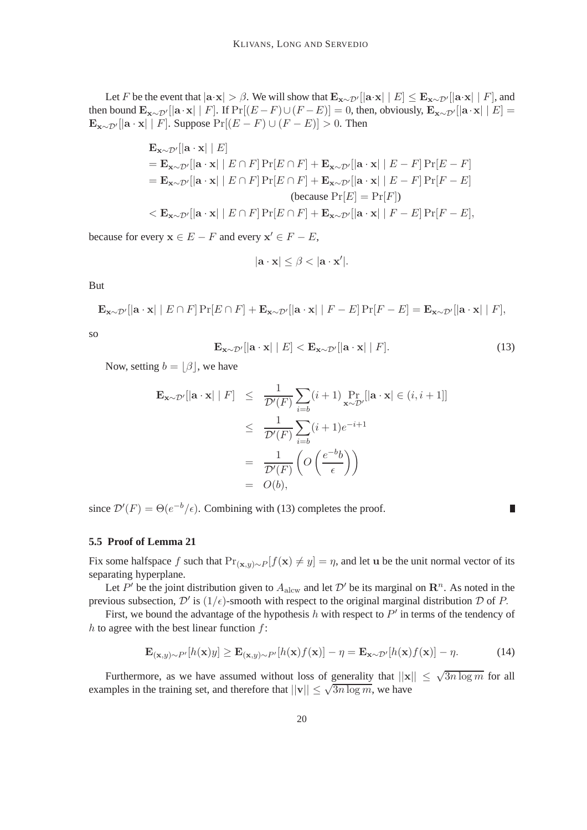Let F be the event that  $|\mathbf{a} \cdot \mathbf{x}| > \beta$ . We will show that  $\mathbf{E}_{\mathbf{x} \sim \mathcal{D}'}[|\mathbf{a} \cdot \mathbf{x}| | E] \leq \mathbf{E}_{\mathbf{x} \sim \mathcal{D}'}[|\mathbf{a} \cdot \mathbf{x}| | F]$ , and then bound  $\mathbf{E}_{\mathbf{x} \sim \mathcal{D}'}[|\mathbf{a} \cdot \mathbf{x}| | F]$ . If  $\Pr[(E - F) \cup (F - E)] = 0$ , then, obviously,  $\mathbf{E}_{\mathbf{x} \sim \mathcal{D}'}[|\mathbf{a} \cdot \mathbf{x}| | E] =$  $\mathbf{E}_{\mathbf{x} \sim \mathcal{D}'}[|\mathbf{a} \cdot \mathbf{x}| | F]$ . Suppose  $\Pr[(E - F) \cup (F - E)] > 0$ . Then

$$
\mathbf{E}_{\mathbf{x}\sim\mathcal{D}'}[\|\mathbf{a}\cdot\mathbf{x}|\mid E]
$$
\n
$$
= \mathbf{E}_{\mathbf{x}\sim\mathcal{D}'}[\|\mathbf{a}\cdot\mathbf{x}|\mid E\cap F]\Pr[E\cap F] + \mathbf{E}_{\mathbf{x}\sim\mathcal{D}'}[\|\mathbf{a}\cdot\mathbf{x}|\mid E-F]\Pr[E-F]
$$
\n
$$
= \mathbf{E}_{\mathbf{x}\sim\mathcal{D}'}[\|\mathbf{a}\cdot\mathbf{x}|\mid E\cap F]\Pr[E\cap F] + \mathbf{E}_{\mathbf{x}\sim\mathcal{D}'}[\|\mathbf{a}\cdot\mathbf{x}|\mid E-F]\Pr[F-E]
$$
\n(because  $\Pr[E] = \Pr[F]$ )\n
$$
< \mathbf{E}_{\mathbf{x}\sim\mathcal{D}'}[\|\mathbf{a}\cdot\mathbf{x}|\mid E\cap F]\Pr[E\cap F] + \mathbf{E}_{\mathbf{x}\sim\mathcal{D}'}[\|\mathbf{a}\cdot\mathbf{x}\mid F-E]\Pr[F-E],
$$

because for every  $\mathbf{x} \in E - F$  and every  $\mathbf{x}' \in F - E$ ,

$$
|\mathbf{a} \cdot \mathbf{x}| \leq \beta < |\mathbf{a} \cdot \mathbf{x}'|.
$$

But

 $\mathbf{E}_{\mathbf{x} \sim \mathcal{D}'}[|\mathbf{a} \cdot \mathbf{x}| | E \cap F] \Pr[E \cap F] + \mathbf{E}_{\mathbf{x} \sim \mathcal{D}'}[|\mathbf{a} \cdot \mathbf{x}| | F - E] \Pr[F - E] = \mathbf{E}_{\mathbf{x} \sim \mathcal{D}'}[|\mathbf{a} \cdot \mathbf{x}| | F],$ 

so

$$
\mathbf{E}_{\mathbf{x}\sim\mathcal{D}'}[|\mathbf{a}\cdot\mathbf{x}| \mid E] < \mathbf{E}_{\mathbf{x}\sim\mathcal{D}'}[|\mathbf{a}\cdot\mathbf{x}| \mid F].\tag{13}
$$

 $\Box$ 

Now, setting  $b = |\beta|$ , we have

$$
\mathbf{E}_{\mathbf{x} \sim \mathcal{D}'}[\|\mathbf{a} \cdot \mathbf{x}\| \| F] \leq \frac{1}{\mathcal{D}'(F)} \sum_{i=b} (i+1) \Pr_{\mathbf{x} \sim \mathcal{D}'}[\|\mathbf{a} \cdot \mathbf{x}\| \in (i, i+1]]
$$
  
\n
$$
\leq \frac{1}{\mathcal{D}'(F)} \sum_{i=b} (i+1) e^{-i+1}
$$
  
\n
$$
= \frac{1}{\mathcal{D}'(F)} \left( O\left(\frac{e^{-b}b}{\epsilon}\right) \right)
$$
  
\n
$$
= O(b),
$$

since  $\mathcal{D}'(F) = \Theta(e^{-b}/\epsilon)$ . Combining with (13) completes the proof.

**5.5 Proof of Lemma 21**

Fix some halfspace f such that  $Pr_{(x,y)\sim P}[f(x) \neq y] = \eta$ , and let u be the unit normal vector of its separating hyperplane.

Let P' be the joint distribution given to  $A_{\text{alcw}}$  and let D' be its marginal on  $\mathbb{R}^n$ . As noted in the previous subsection,  $\mathcal{D}'$  is  $(1/\epsilon)$ -smooth with respect to the original marginal distribution  $\mathcal D$  of  $P$ .

First, we bound the advantage of the hypothesis h with respect to  $P'$  in terms of the tendency of h to agree with the best linear function  $f$ :

$$
\mathbf{E}_{(\mathbf{x},y)\sim P'}[h(\mathbf{x})y] \ge \mathbf{E}_{(\mathbf{x},y)\sim P'}[h(\mathbf{x})f(\mathbf{x})] - \eta = \mathbf{E}_{\mathbf{x}\sim D'}[h(\mathbf{x})f(\mathbf{x})] - \eta.
$$
 (14)

Furthermore, as we have assumed without loss of generality that  $||\mathbf{x}|| \leq \sqrt{3n \log m}$  for all examples in the training set, and therefore that  $||\mathbf{v}|| \leq \sqrt{3n \log m}$ , we have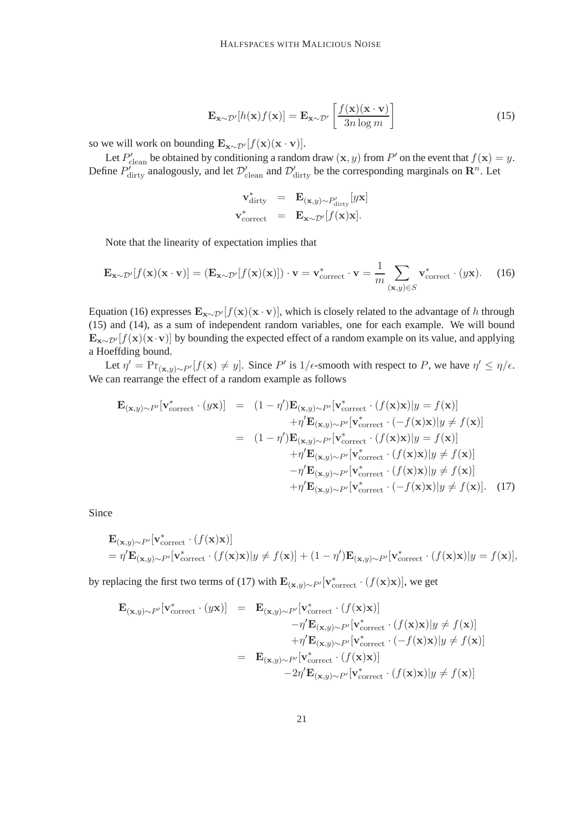$$
\mathbf{E}_{\mathbf{x} \sim \mathcal{D}'}[h(\mathbf{x})f(\mathbf{x})] = \mathbf{E}_{\mathbf{x} \sim \mathcal{D}'}\left[\frac{f(\mathbf{x})(\mathbf{x} \cdot \mathbf{v})}{3n \log m}\right]
$$
(15)

so we will work on bounding  $\mathbf{E}_{\mathbf{x} \sim \mathcal{D}'}[f(\mathbf{x})(\mathbf{x} \cdot \mathbf{v})].$ 

Let  $P'_{\text{clean}}$  be obtained by conditioning a random draw  $(\mathbf{x}, y)$  from  $P'$  on the event that  $f(\mathbf{x}) = y$ . Define  $P'_{\text{dirty}}$  analogously, and let  $\mathcal{D}'_{\text{clean}}$  and  $\mathcal{D}'_{\text{dirty}}$  be the corresponding marginals on  $\mathbb{R}^n$ . Let

$$
\begin{array}{rcl} \mathbf{v}_{\rm{dirty}}^* & = & \mathbf{E}_{(\mathbf{x},y) \sim P_{\rm{dirty}}'}[y\mathbf{x}] \\ \mathbf{v}_{\rm{correct}}^* & = & \mathbf{E}_{\mathbf{x} \sim \mathcal{D}'}[f(\mathbf{x})\mathbf{x}]. \end{array}
$$

Note that the linearity of expectation implies that

$$
\mathbf{E}_{\mathbf{x} \sim \mathcal{D}'}[f(\mathbf{x})(\mathbf{x} \cdot \mathbf{v})] = (\mathbf{E}_{\mathbf{x} \sim \mathcal{D}'}[f(\mathbf{x})(\mathbf{x})]) \cdot \mathbf{v} = \mathbf{v}_{\text{correct}}^* \cdot \mathbf{v} = \frac{1}{m} \sum_{(\mathbf{x}, y) \in S} \mathbf{v}_{\text{correct}}^* \cdot (y\mathbf{x}). \tag{16}
$$

Equation (16) expresses  $\mathbf{E}_{\mathbf{x} \sim \mathcal{D}'}[f(\mathbf{x})(\mathbf{x} \cdot \mathbf{v})]$ , which is closely related to the advantage of h through (15) and (14), as a sum of independent random variables, one for each example. We will bound  $\mathbf{E}_{\mathbf{x} \sim \mathcal{D}'}[f(\mathbf{x})(\mathbf{x} \cdot \mathbf{v})]$  by bounding the expected effect of a random example on its value, and applying a Hoeffding bound.

Let  $\eta' = \Pr_{(\mathbf{x}, y) \sim P'}[f(\mathbf{x}) \neq y]$ . Since P' is 1/ $\epsilon$ -smooth with respect to P, we have  $\eta' \leq \eta/\epsilon$ . We can rearrange the effect of a random example as follows

$$
\mathbf{E}_{(\mathbf{x},y)\sim P'}[\mathbf{v}_{\text{correct}}^* \cdot (y\mathbf{x})] = (1 - \eta')\mathbf{E}_{(\mathbf{x},y)\sim P'}[\mathbf{v}_{\text{correct}}^* \cdot (f(\mathbf{x})\mathbf{x})|y = f(\mathbf{x})] \n+ \eta' \mathbf{E}_{(\mathbf{x},y)\sim P'}[\mathbf{v}_{\text{correct}}^* \cdot (-f(\mathbf{x})\mathbf{x})|y \neq f(\mathbf{x})] \n= (1 - \eta')\mathbf{E}_{(\mathbf{x},y)\sim P'}[\mathbf{v}_{\text{correct}}^* \cdot (f(\mathbf{x})\mathbf{x})|y = f(\mathbf{x})] \n+ \eta' \mathbf{E}_{(\mathbf{x},y)\sim P'}[\mathbf{v}_{\text{correct}}^* \cdot (f(\mathbf{x})\mathbf{x})|y \neq f(\mathbf{x})] \n- \eta' \mathbf{E}_{(\mathbf{x},y)\sim P'}[\mathbf{v}_{\text{correct}}^* \cdot (f(\mathbf{x})\mathbf{x})|y \neq f(\mathbf{x})] \n+ \eta' \mathbf{E}_{(\mathbf{x},y)\sim P'}[\mathbf{v}_{\text{correct}}^* \cdot (-f(\mathbf{x})\mathbf{x})|y \neq f(\mathbf{x})].
$$
\n(17)

Since

$$
\mathbf{E}_{(\mathbf{x},y)\sim P'}[\mathbf{v}_{\text{correct}}^* \cdot (f(\mathbf{x})\mathbf{x})] \n= \eta' \mathbf{E}_{(\mathbf{x},y)\sim P'}[\mathbf{v}_{\text{correct}}^* \cdot (f(\mathbf{x})\mathbf{x})|y \neq f(\mathbf{x})] + (1 - \eta') \mathbf{E}_{(\mathbf{x},y)\sim P'}[\mathbf{v}_{\text{correct}}^* \cdot (f(\mathbf{x})\mathbf{x})|y = f(\mathbf{x})],
$$

by replacing the first two terms of (17) with  $\mathbf{E}_{(\mathbf{x},y)\sim P'}[\mathbf{v}_{\text{correct}}^* \cdot (f(\mathbf{x})\mathbf{x})]$ , we get

$$
\mathbf{E}_{(\mathbf{x},y)\sim P'}[\mathbf{v}_{\text{correct}}^* \cdot (y\mathbf{x})] = \mathbf{E}_{(\mathbf{x},y)\sim P'}[\mathbf{v}_{\text{correct}}^* \cdot (f(\mathbf{x})\mathbf{x})] \n- \eta' \mathbf{E}_{(\mathbf{x},y)\sim P'}[\mathbf{v}_{\text{correct}}^* \cdot (f(\mathbf{x})\mathbf{x})]y \neq f(\mathbf{x})] \n+ \eta' \mathbf{E}_{(\mathbf{x},y)\sim P'}[\mathbf{v}_{\text{correct}}^* \cdot (-f(\mathbf{x})\mathbf{x})]y \neq f(\mathbf{x})] \n= \mathbf{E}_{(\mathbf{x},y)\sim P'}[\mathbf{v}_{\text{correct}}^* \cdot (f(\mathbf{x})\mathbf{x})] \n- 2\eta' \mathbf{E}_{(\mathbf{x},y)\sim P'}[\mathbf{v}_{\text{correct}}^* \cdot (f(\mathbf{x})\mathbf{x})]y \neq f(\mathbf{x})]
$$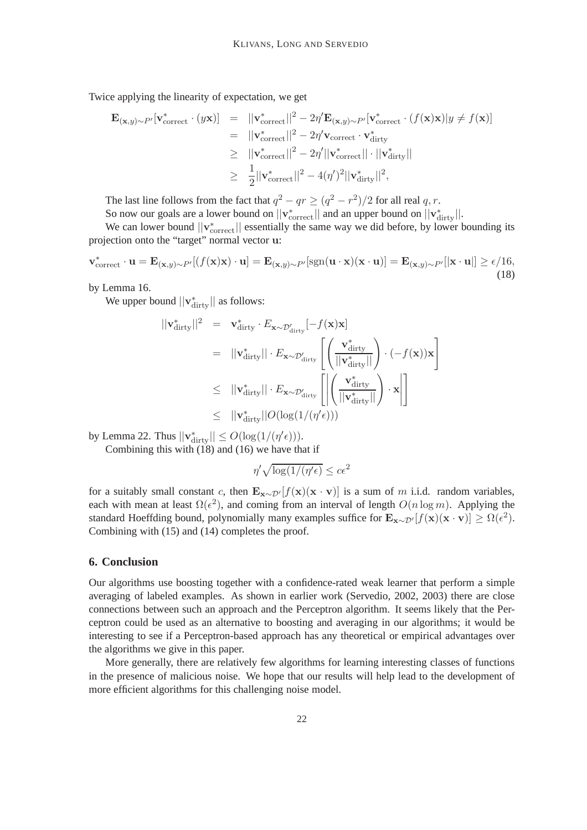Twice applying the linearity of expectation, we get

$$
\mathbf{E}_{(\mathbf{x},y)\sim P'}[\mathbf{v}_{\text{correct}}^* \cdot (y\mathbf{x})] = ||\mathbf{v}_{\text{correct}}^*||^2 - 2\eta' \mathbf{E}_{(\mathbf{x},y)\sim P'}[\mathbf{v}_{\text{correct}}^* \cdot (f(\mathbf{x})\mathbf{x})]y \neq f(\mathbf{x})] \n= ||\mathbf{v}_{\text{correct}}^*||^2 - 2\eta' \mathbf{v}_{\text{correct}} \cdot \mathbf{v}_{\text{dirty}}^* \n\geq ||\mathbf{v}_{\text{correct}}^*||^2 - 2\eta'||\mathbf{v}_{\text{correct}}^*|| \cdot ||\mathbf{v}_{\text{dirty}}^*|| \n\geq \frac{1}{2}||\mathbf{v}_{\text{correct}}^*||^2 - 4(\eta')^2||\mathbf{v}_{\text{dirty}}^*||^2,
$$

The last line follows from the fact that  $q^2 - qr \geq (q^2 - r^2)/2$  for all real q, r. So now our goals are a lower bound on  $||\mathbf{v}_{\text{correct}}^*||$  and an upper bound on  $||\mathbf{v}_{\text{dirty}}^*||$ .

We can lower bound  $||\mathbf{v}_{\text{correct}}^*||$  essentially the same way we did before, by lower bounding its projection onto the "target" normal vector u:

 $\mathbf{v}_{\text{correct}}^* \cdot \mathbf{u} = \mathbf{E}_{(\mathbf{x},y) \sim P'}[(f(\mathbf{x})\mathbf{x}) \cdot \mathbf{u}] = \mathbf{E}_{(\mathbf{x},y) \sim P'}[\text{sgn}(\mathbf{u} \cdot \mathbf{x})(\mathbf{x} \cdot \mathbf{u})] = \mathbf{E}_{(\mathbf{x},y) \sim P'}[|\mathbf{x} \cdot \mathbf{u}|] \ge \epsilon/16,$ (18)

by Lemma 16.

We upper bound  $||\mathbf{v}_{\text{dirty}}^*||$  as follows:

$$
\begin{array}{rcl} ||\mathbf{v}_{\text{dirty}}^*||^2 & = & \mathbf{v}_{\text{dirty}}^* \cdot E_{\mathbf{x} \sim \mathcal{D}_{\text{dirty}}'}[-f(\mathbf{x})\mathbf{x}] \\ \\ & = & ||\mathbf{v}_{\text{dirty}}^*|| \cdot E_{\mathbf{x} \sim \mathcal{D}_{\text{dirty}}'}\left[\left(\frac{\mathbf{v}_{\text{dirty}}^*}{||\mathbf{v}_{\text{dirty}}^*||}\right) \cdot (-f(\mathbf{x}))\mathbf{x}\right] \\ \\ & \leq & ||\mathbf{v}_{\text{dirty}}^*|| \cdot E_{\mathbf{x} \sim \mathcal{D}_{\text{arity}}'}\left[\left|\left(\frac{\mathbf{v}_{\text{dirty}}^*}{||\mathbf{v}_{\text{dirty}}^*||}\right) \cdot \mathbf{x}\right|\right] \\ \\ & \leq & ||\mathbf{v}_{\text{dirty}}^*||O(\log(1/(\eta'\epsilon))) \end{array}
$$

by Lemma 22. Thus 
$$
||\mathbf{v}_{\text{dirty}}^*|| \le O(\log(1/(\eta/\epsilon))).
$$
  
Combining this with (18) and (16) we have that

Combining this with (18) and (16) we have that if

$$
\eta' \sqrt{\log(1/(\eta'\epsilon)} \leq c\epsilon^2
$$

for a suitably small constant c, then  $\mathbf{E}_{\mathbf{x} \sim \mathcal{D}'}[f(\mathbf{x})(\mathbf{x} \cdot \mathbf{v})]$  is a sum of m i.i.d. random variables, each with mean at least  $\Omega(\epsilon^2)$ , and coming from an interval of length  $O(n \log m)$ . Applying the standard Hoeffding bound, polynomially many examples suffice for  $\mathbf{E}_{\mathbf{x} \sim \mathcal{D}'}[f(\mathbf{x})(\mathbf{x} \cdot \mathbf{v})] \ge \Omega(\epsilon^2)$ . Combining with (15) and (14) completes the proof.

#### **6. Conclusion**

Our algorithms use boosting together with a confidence-rated weak learner that perform a simple averaging of labeled examples. As shown in earlier work (Servedio, 2002, 2003) there are close connections between such an approach and the Perceptron algorithm. It seems likely that the Perceptron could be used as an alternative to boosting and averaging in our algorithms; it would be interesting to see if a Perceptron-based approach has any theoretical or empirical advantages over the algorithms we give in this paper.

More generally, there are relatively few algorithms for learning interesting classes of functions in the presence of malicious noise. We hope that our results will help lead to the development of more efficient algorithms for this challenging noise model.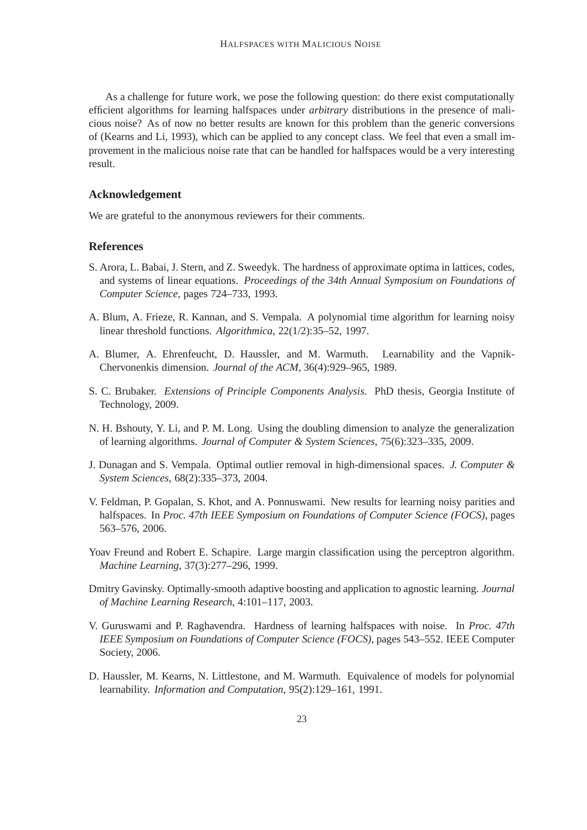As a challenge for future work, we pose the following question: do there exist computationally efficient algorithms for learning halfspaces under *arbitrary* distributions in the presence of malicious noise? As of now no better results are known for this problem than the generic conversions of (Kearns and Li, 1993), which can be applied to any concept class. We feel that even a small improvement in the malicious noise rate that can be handled for halfspaces would be a very interesting result.

# **Acknowledgement**

We are grateful to the anonymous reviewers for their comments.

# **References**

- S. Arora, L. Babai, J. Stern, and Z. Sweedyk. The hardness of approximate optima in lattices, codes, and systems of linear equations. *Proceedings of the 34th Annual Symposium on Foundations of Computer Science*, pages 724–733, 1993.
- A. Blum, A. Frieze, R. Kannan, and S. Vempala. A polynomial time algorithm for learning noisy linear threshold functions. *Algorithmica*, 22(1/2):35–52, 1997.
- A. Blumer, A. Ehrenfeucht, D. Haussler, and M. Warmuth. Learnability and the Vapnik-Chervonenkis dimension. *Journal of the ACM*, 36(4):929–965, 1989.
- S. C. Brubaker. *Extensions of Principle Components Analysis*. PhD thesis, Georgia Institute of Technology, 2009.
- N. H. Bshouty, Y. Li, and P. M. Long. Using the doubling dimension to analyze the generalization of learning algorithms. *Journal of Computer & System Sciences*, 75(6):323–335, 2009.
- J. Dunagan and S. Vempala. Optimal outlier removal in high-dimensional spaces. *J. Computer & System Sciences*, 68(2):335–373, 2004.
- V. Feldman, P. Gopalan, S. Khot, and A. Ponnuswami. New results for learning noisy parities and halfspaces. In *Proc. 47th IEEE Symposium on Foundations of Computer Science (FOCS)*, pages 563–576, 2006.
- Yoav Freund and Robert E. Schapire. Large margin classification using the perceptron algorithm. *Machine Learning*, 37(3):277–296, 1999.
- Dmitry Gavinsky. Optimally-smooth adaptive boosting and application to agnostic learning. *Journal of Machine Learning Research*, 4:101–117, 2003.
- V. Guruswami and P. Raghavendra. Hardness of learning halfspaces with noise. In *Proc. 47th IEEE Symposium on Foundations of Computer Science (FOCS)*, pages 543–552. IEEE Computer Society, 2006.
- D. Haussler, M. Kearns, N. Littlestone, and M. Warmuth. Equivalence of models for polynomial learnability. *Information and Computation*, 95(2):129–161, 1991.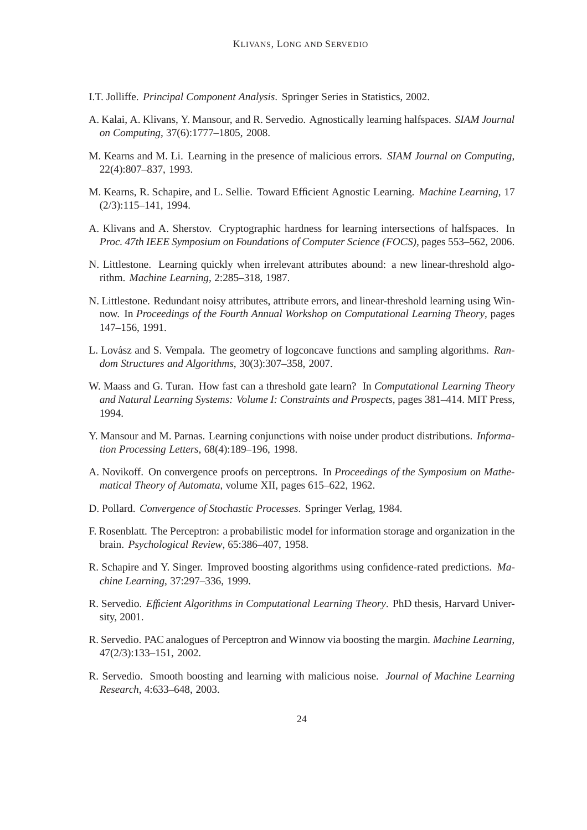- I.T. Jolliffe. *Principal Component Analysis*. Springer Series in Statistics, 2002.
- A. Kalai, A. Klivans, Y. Mansour, and R. Servedio. Agnostically learning halfspaces. *SIAM Journal on Computing*, 37(6):1777–1805, 2008.
- M. Kearns and M. Li. Learning in the presence of malicious errors. *SIAM Journal on Computing*, 22(4):807–837, 1993.
- M. Kearns, R. Schapire, and L. Sellie. Toward Efficient Agnostic Learning. *Machine Learning*, 17 (2/3):115–141, 1994.
- A. Klivans and A. Sherstov. Cryptographic hardness for learning intersections of halfspaces. In *Proc. 47th IEEE Symposium on Foundations of Computer Science (FOCS)*, pages 553–562, 2006.
- N. Littlestone. Learning quickly when irrelevant attributes abound: a new linear-threshold algorithm. *Machine Learning*, 2:285–318, 1987.
- N. Littlestone. Redundant noisy attributes, attribute errors, and linear-threshold learning using Winnow. In *Proceedings of the Fourth Annual Workshop on Computational Learning Theory*, pages 147–156, 1991.
- L. Lov´asz and S. Vempala. The geometry of logconcave functions and sampling algorithms. *Random Structures and Algorithms*, 30(3):307–358, 2007.
- W. Maass and G. Turan. How fast can a threshold gate learn? In *Computational Learning Theory and Natural Learning Systems: Volume I: Constraints and Prospects*, pages 381–414. MIT Press, 1994.
- Y. Mansour and M. Parnas. Learning conjunctions with noise under product distributions. *Information Processing Letters*, 68(4):189–196, 1998.
- A. Novikoff. On convergence proofs on perceptrons. In *Proceedings of the Symposium on Mathematical Theory of Automata*, volume XII, pages 615–622, 1962.
- D. Pollard. *Convergence of Stochastic Processes*. Springer Verlag, 1984.
- F. Rosenblatt. The Perceptron: a probabilistic model for information storage and organization in the brain. *Psychological Review*, 65:386–407, 1958.
- R. Schapire and Y. Singer. Improved boosting algorithms using confidence-rated predictions. *Machine Learning*, 37:297–336, 1999.
- R. Servedio. *Efficient Algorithms in Computational Learning Theory*. PhD thesis, Harvard University, 2001.
- R. Servedio. PAC analogues of Perceptron and Winnow via boosting the margin. *Machine Learning*, 47(2/3):133–151, 2002.
- R. Servedio. Smooth boosting and learning with malicious noise. *Journal of Machine Learning Research*, 4:633–648, 2003.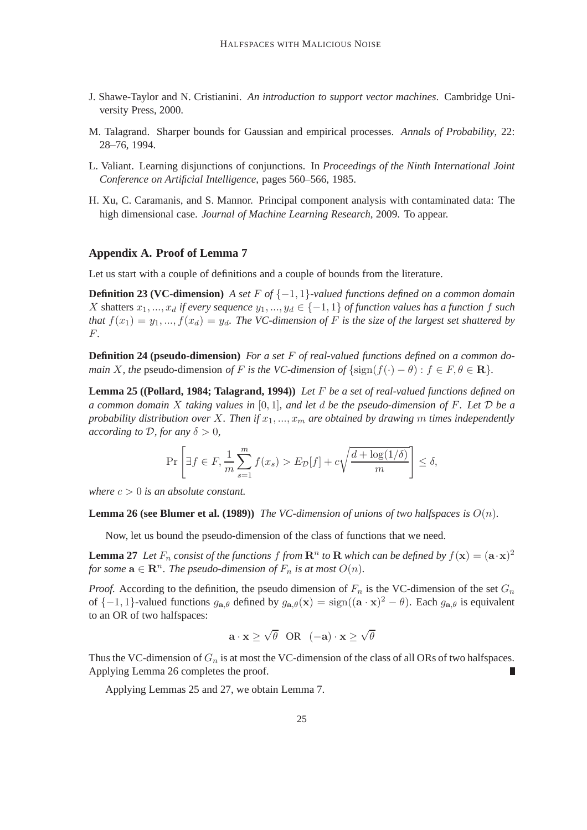- J. Shawe-Taylor and N. Cristianini. *An introduction to support vector machines*. Cambridge University Press, 2000.
- M. Talagrand. Sharper bounds for Gaussian and empirical processes. *Annals of Probability*, 22: 28–76, 1994.
- L. Valiant. Learning disjunctions of conjunctions. In *Proceedings of the Ninth International Joint Conference on Artificial Intelligence*, pages 560–566, 1985.
- H. Xu, C. Caramanis, and S. Mannor. Principal component analysis with contaminated data: The high dimensional case. *Journal of Machine Learning Research*, 2009. To appear.

# **Appendix A. Proof of Lemma 7**

Let us start with a couple of definitions and a couple of bounds from the literature.

**Definition 23 (VC-dimension)** *A set* F *of* {−1, 1}*-valued functions defined on a common domain* X shatters  $x_1, ..., x_d$  *if every sequence*  $y_1, ..., y_d \in \{-1, 1\}$  *of function values has a function* f *such that*  $f(x_1) = y_1, ..., f(x_d) = y_d$ . The VC-dimension of F is the size of the largest set shattered by F*.*

**Definition 24 (pseudo-dimension)** *For a set* F *of real-valued functions defined on a common domain X, the* pseudo-dimension *of F is the VC-dimension of*  $\{\text{sign}(f(\cdot) - \theta) : f \in F, \theta \in \mathbb{R}\}$ *.* 

**Lemma 25 ((Pollard, 1984; Talagrand, 1994))** *Let* F *be a set of real-valued functions defined on a common domain* X *taking values in* [0, 1]*, and let* d *be the pseudo-dimension of* F*. Let* D *be a probability distribution over* X. Then if  $x_1, ..., x_m$  are obtained by drawing m times independently *according to D, for any*  $\delta > 0$ *,* 

$$
\Pr\left[\exists f \in F, \frac{1}{m} \sum_{s=1}^{m} f(x_s) > E_{\mathcal{D}}[f] + c\sqrt{\frac{d + \log(1/\delta)}{m}}\right] \le \delta,
$$

*where*  $c > 0$  *is an absolute constant.* 

**Lemma 26 (see Blumer et al. (1989))** *The VC-dimension of unions of two halfspaces is*  $O(n)$ *.* 

Now, let us bound the pseudo-dimension of the class of functions that we need.

**Lemma 27** Let  $F_n$  consist of the functions f from  $\mathbb{R}^n$  to  $\mathbb{R}$  which can be defined by  $f(\mathbf{x}) = (\mathbf{a} \cdot \mathbf{x})^2$ *for some*  $\mathbf{a} \in \mathbb{R}^n$ . The pseudo-dimension of  $F_n$  is at most  $O(n)$ .

*Proof.* According to the definition, the pseudo dimension of  $F_n$  is the VC-dimension of the set  $G_n$ of  $\{-1, 1\}$ -valued functions  $g_{a,\theta}$  defined by  $g_{a,\theta}(\mathbf{x}) = \text{sign}((\mathbf{a} \cdot \mathbf{x})^2 - \theta)$ . Each  $g_{a,\theta}$  is equivalent to an OR of two halfspaces:

$$
\mathbf{a} \cdot \mathbf{x} \ge \sqrt{\theta} \quad \text{OR} \quad (-\mathbf{a}) \cdot \mathbf{x} \ge \sqrt{\theta}
$$

Thus the VC-dimension of  $G_n$  is at most the VC-dimension of the class of all ORs of two halfspaces. Applying Lemma 26 completes the proof.

Applying Lemmas 25 and 27, we obtain Lemma 7.